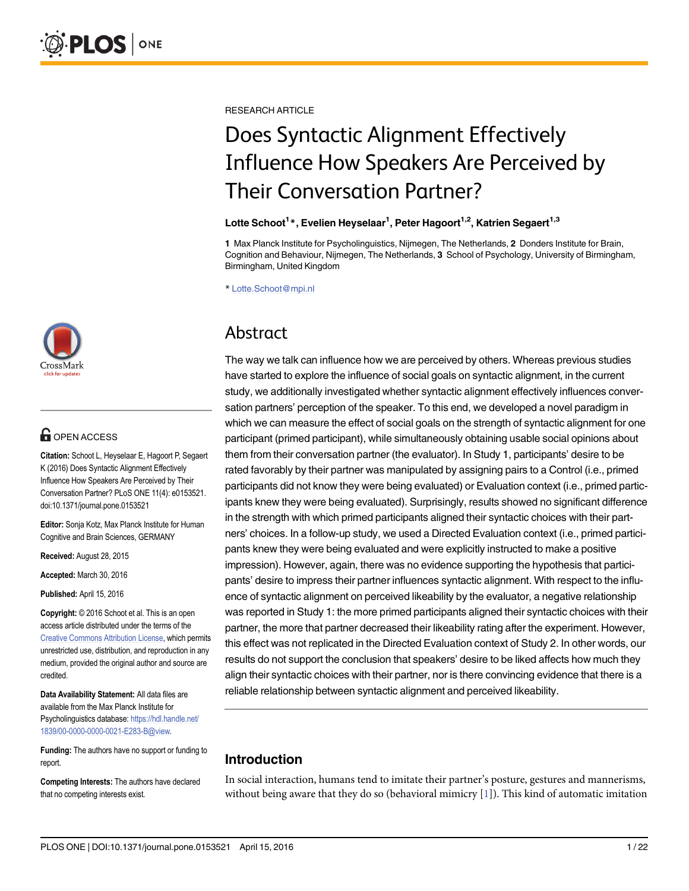

# **G** OPEN ACCESS

Citation: Schoot L, Heyselaar E, Hagoort P, Segaert K (2016) Does Syntactic Alignment Effectively Influence How Speakers Are Perceived by Their Conversation Partner? PLoS ONE 11(4): e0153521. doi:10.1371/journal.pone.0153521

Editor: Sonja Kotz, Max Planck Institute for Human Cognitive and Brain Sciences, GERMANY

Received: August 28, 2015

Accepted: March 30, 2016

Published: April 15, 2016

Copyright: © 2016 Schoot et al. This is an open access article distributed under the terms of the [Creative Commons Attribution License,](http://creativecommons.org/licenses/by/4.0/) which permits unrestricted use, distribution, and reproduction in any medium, provided the original author and source are credited.

Data Availability Statement: All data files are available from the Max Planck Institute for Psycholinguistics database: [https://hdl.handle.net/](https://hdl.handle.net/1839/00-0000-0000-0021-E283-B@view) [1839/00-0000-0000-0021-E283-B@view.](https://hdl.handle.net/1839/00-0000-0000-0021-E283-B@view)

Funding: The authors have no support or funding to report.

Competing Interests: The authors have declared that no competing interests exist.

<span id="page-0-0"></span>RESEARCH ARTICLE

# Does Syntactic Alignment Effectively Influence How Speakers Are Perceived by Their Conversation Partner?

### Lotte Schoot<sup>1</sup>\*, Evelien Heyselaar<sup>1</sup>, Peter Hagoort<sup>1,2</sup>, Katrien Segaert<sup>1,3</sup>

1 Max Planck Institute for Psycholinguistics, Nijmegen, The Netherlands, 2 Donders Institute for Brain, Cognition and Behaviour, Nijmegen, The Netherlands, 3 School of Psychology, University of Birmingham, Birmingham, United Kingdom

\* Lotte.Schoot@mpi.nl

# Abstract

The way we talk can influence how we are perceived by others. Whereas previous studies have started to explore the influence of social goals on syntactic alignment, in the current study, we additionally investigated whether syntactic alignment effectively influences conversation partners' perception of the speaker. To this end, we developed a novel paradigm in which we can measure the effect of social goals on the strength of syntactic alignment for one participant (primed participant), while simultaneously obtaining usable social opinions about them from their conversation partner (the evaluator). In Study 1, participants' desire to be rated favorably by their partner was manipulated by assigning pairs to a Control (i.e., primed participants did not know they were being evaluated) or Evaluation context (i.e., primed participants knew they were being evaluated). Surprisingly, results showed no significant difference in the strength with which primed participants aligned their syntactic choices with their partners' choices. In a follow-up study, we used a Directed Evaluation context (i.e., primed participants knew they were being evaluated and were explicitly instructed to make a positive impression). However, again, there was no evidence supporting the hypothesis that participants' desire to impress their partner influences syntactic alignment. With respect to the influence of syntactic alignment on perceived likeability by the evaluator, a negative relationship was reported in Study 1: the more primed participants aligned their syntactic choices with their partner, the more that partner decreased their likeability rating after the experiment. However, this effect was not replicated in the Directed Evaluation context of Study 2. In other words, our results do not support the conclusion that speakers' desire to be liked affects how much they align their syntactic choices with their partner, nor is there convincing evidence that there is a reliable relationship between syntactic alignment and perceived likeability.

# Introduction

In social interaction, humans tend to imitate their partner's posture, gestures and mannerisms, without being aware that they do so (behavioral mimicry  $[1]$  $[1]$ ). This kind of automatic imitation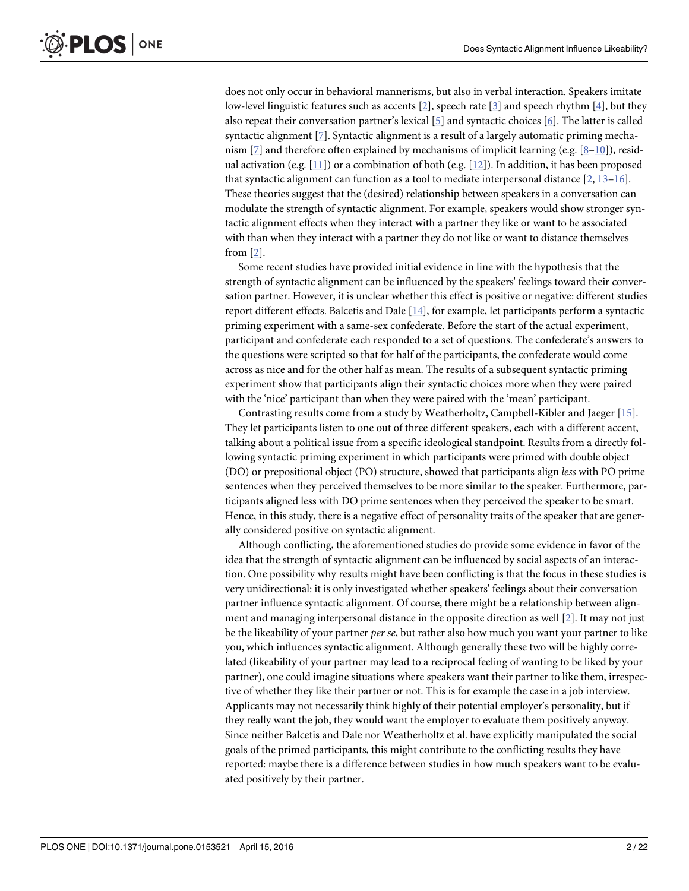<span id="page-1-0"></span>does not only occur in behavioral mannerisms, but also in verbal interaction. Speakers imitate low-level linguistic features such as accents  $[2]$  $[2]$ , speech rate  $[3]$  $[3]$  $[3]$  and speech rhythm  $[4]$  $[4]$ , but they also repeat their conversation partner's lexical  $[5]$  and syntactic choices  $[6]$  $[6]$  $[6]$ . The latter is called syntactic alignment [\[7\]](#page-20-0). Syntactic alignment is a result of a largely automatic priming mecha-nism [\[7](#page-20-0)] and therefore often explained by mechanisms of implicit learning (e.g.  $[8-10]$  $[8-10]$  $[8-10]$  $[8-10]$  $[8-10]$ ), residual activation (e.g.  $[11]$  $[11]$  $[11]$ ) or a combination of both (e.g.  $[12]$  $[12]$ ). In addition, it has been proposed that syntactic alignment can function as a tool to mediate interpersonal distance  $[2, 13-16]$  $[2, 13-16]$  $[2, 13-16]$  $[2, 13-16]$  $[2, 13-16]$  $[2, 13-16]$  $[2, 13-16]$ . These theories suggest that the (desired) relationship between speakers in a conversation can modulate the strength of syntactic alignment. For example, speakers would show stronger syntactic alignment effects when they interact with a partner they like or want to be associated with than when they interact with a partner they do not like or want to distance themselves from [\[2](#page-19-0)].

Some recent studies have provided initial evidence in line with the hypothesis that the strength of syntactic alignment can be influenced by the speakers' feelings toward their conversation partner. However, it is unclear whether this effect is positive or negative: different studies report different effects. Balcetis and Dale [\[14\]](#page-20-0), for example, let participants perform a syntactic priming experiment with a same-sex confederate. Before the start of the actual experiment, participant and confederate each responded to a set of questions. The confederate's answers to the questions were scripted so that for half of the participants, the confederate would come across as nice and for the other half as mean. The results of a subsequent syntactic priming experiment show that participants align their syntactic choices more when they were paired with the 'nice' participant than when they were paired with the 'mean' participant.

Contrasting results come from a study by Weatherholtz, Campbell-Kibler and Jaeger [\[15\]](#page-20-0). They let participants listen to one out of three different speakers, each with a different accent, talking about a political issue from a specific ideological standpoint. Results from a directly following syntactic priming experiment in which participants were primed with double object (DO) or prepositional object (PO) structure, showed that participants align less with PO prime sentences when they perceived themselves to be more similar to the speaker. Furthermore, participants aligned less with DO prime sentences when they perceived the speaker to be smart. Hence, in this study, there is a negative effect of personality traits of the speaker that are generally considered positive on syntactic alignment.

Although conflicting, the aforementioned studies do provide some evidence in favor of the idea that the strength of syntactic alignment can be influenced by social aspects of an interaction. One possibility why results might have been conflicting is that the focus in these studies is very unidirectional: it is only investigated whether speakers' feelings about their conversation partner influence syntactic alignment. Of course, there might be a relationship between alignment and managing interpersonal distance in the opposite direction as well [[2\]](#page-19-0). It may not just be the likeability of your partner *per se*, but rather also how much you want your partner to like you, which influences syntactic alignment. Although generally these two will be highly correlated (likeability of your partner may lead to a reciprocal feeling of wanting to be liked by your partner), one could imagine situations where speakers want their partner to like them, irrespective of whether they like their partner or not. This is for example the case in a job interview. Applicants may not necessarily think highly of their potential employer's personality, but if they really want the job, they would want the employer to evaluate them positively anyway. Since neither Balcetis and Dale nor Weatherholtz et al. have explicitly manipulated the social goals of the primed participants, this might contribute to the conflicting results they have reported: maybe there is a difference between studies in how much speakers want to be evaluated positively by their partner.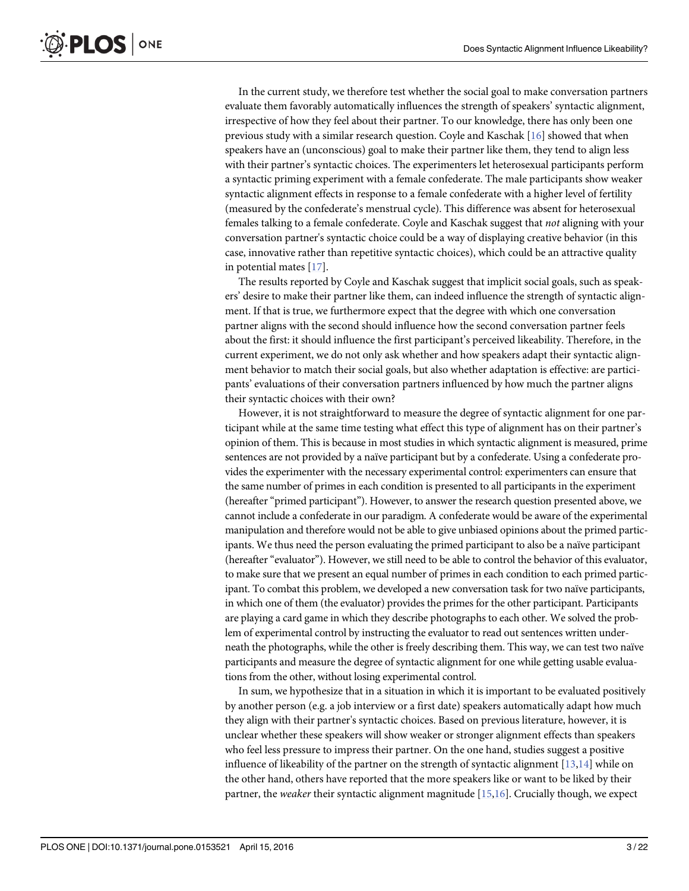<span id="page-2-0"></span>In the current study, we therefore test whether the social goal to make conversation partners evaluate them favorably automatically influences the strength of speakers' syntactic alignment, irrespective of how they feel about their partner. To our knowledge, there has only been one previous study with a similar research question. Coyle and Kaschak [[16](#page-20-0)] showed that when speakers have an (unconscious) goal to make their partner like them, they tend to align less with their partner's syntactic choices. The experimenters let heterosexual participants perform a syntactic priming experiment with a female confederate. The male participants show weaker syntactic alignment effects in response to a female confederate with a higher level of fertility (measured by the confederate's menstrual cycle). This difference was absent for heterosexual females talking to a female confederate. Coyle and Kaschak suggest that not aligning with your conversation partner's syntactic choice could be a way of displaying creative behavior (in this case, innovative rather than repetitive syntactic choices), which could be an attractive quality in potential mates  $[17]$  $[17]$  $[17]$ .

The results reported by Coyle and Kaschak suggest that implicit social goals, such as speakers' desire to make their partner like them, can indeed influence the strength of syntactic alignment. If that is true, we furthermore expect that the degree with which one conversation partner aligns with the second should influence how the second conversation partner feels about the first: it should influence the first participant's perceived likeability. Therefore, in the current experiment, we do not only ask whether and how speakers adapt their syntactic alignment behavior to match their social goals, but also whether adaptation is effective: are participants' evaluations of their conversation partners influenced by how much the partner aligns their syntactic choices with their own?

However, it is not straightforward to measure the degree of syntactic alignment for one participant while at the same time testing what effect this type of alignment has on their partner's opinion of them. This is because in most studies in which syntactic alignment is measured, prime sentences are not provided by a naïve participant but by a confederate. Using a confederate provides the experimenter with the necessary experimental control: experimenters can ensure that the same number of primes in each condition is presented to all participants in the experiment (hereafter "primed participant"). However, to answer the research question presented above, we cannot include a confederate in our paradigm. A confederate would be aware of the experimental manipulation and therefore would not be able to give unbiased opinions about the primed participants. We thus need the person evaluating the primed participant to also be a naïve participant (hereafter "evaluator"). However, we still need to be able to control the behavior of this evaluator, to make sure that we present an equal number of primes in each condition to each primed participant. To combat this problem, we developed a new conversation task for two naïve participants, in which one of them (the evaluator) provides the primes for the other participant. Participants are playing a card game in which they describe photographs to each other. We solved the problem of experimental control by instructing the evaluator to read out sentences written underneath the photographs, while the other is freely describing them. This way, we can test two naïve participants and measure the degree of syntactic alignment for one while getting usable evaluations from the other, without losing experimental control.

In sum, we hypothesize that in a situation in which it is important to be evaluated positively by another person (e.g. a job interview or a first date) speakers automatically adapt how much they align with their partner's syntactic choices. Based on previous literature, however, it is unclear whether these speakers will show weaker or stronger alignment effects than speakers who feel less pressure to impress their partner. On the one hand, studies suggest a positive influence of likeability of the partner on the strength of syntactic alignment  $[13,14]$  while on the other hand, others have reported that the more speakers like or want to be liked by their partner, the weaker their syntactic alignment magnitude  $[15,16]$  $[15,16]$  $[15,16]$ . Crucially though, we expect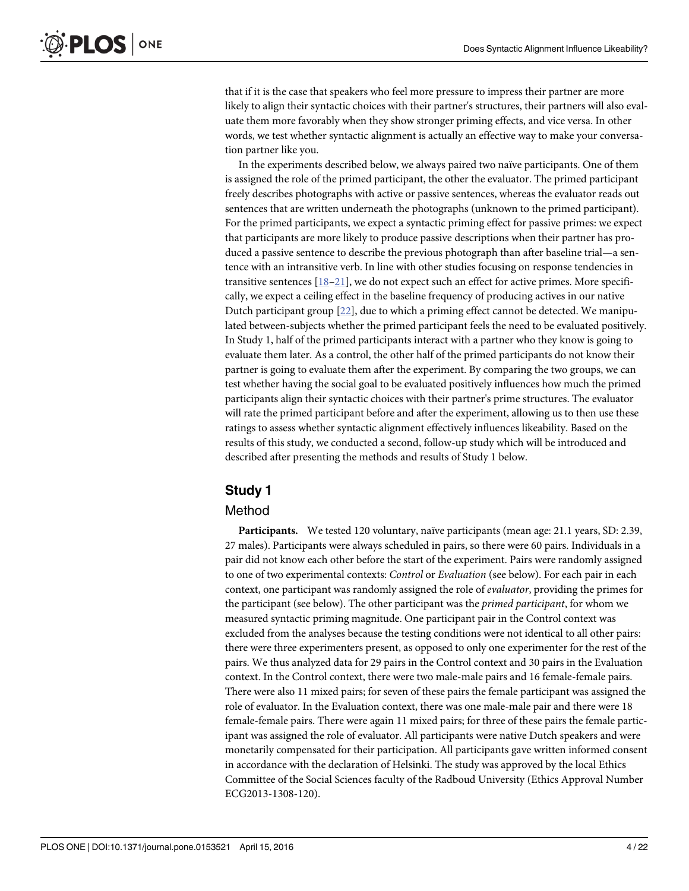<span id="page-3-0"></span>that if it is the case that speakers who feel more pressure to impress their partner are more likely to align their syntactic choices with their partner's structures, their partners will also evaluate them more favorably when they show stronger priming effects, and vice versa. In other words, we test whether syntactic alignment is actually an effective way to make your conversation partner like you.

In the experiments described below, we always paired two naïve participants. One of them is assigned the role of the primed participant, the other the evaluator. The primed participant freely describes photographs with active or passive sentences, whereas the evaluator reads out sentences that are written underneath the photographs (unknown to the primed participant). For the primed participants, we expect a syntactic priming effect for passive primes: we expect that participants are more likely to produce passive descriptions when their partner has produced a passive sentence to describe the previous photograph than after baseline trial—a sentence with an intransitive verb. In line with other studies focusing on response tendencies in transitive sentences [[18](#page-20-0)–[21](#page-20-0)], we do not expect such an effect for active primes. More specifically, we expect a ceiling effect in the baseline frequency of producing actives in our native Dutch participant group [\[22](#page-20-0)], due to which a priming effect cannot be detected. We manipulated between-subjects whether the primed participant feels the need to be evaluated positively. In Study 1, half of the primed participants interact with a partner who they know is going to evaluate them later. As a control, the other half of the primed participants do not know their partner is going to evaluate them after the experiment. By comparing the two groups, we can test whether having the social goal to be evaluated positively influences how much the primed participants align their syntactic choices with their partner's prime structures. The evaluator will rate the primed participant before and after the experiment, allowing us to then use these ratings to assess whether syntactic alignment effectively influences likeability. Based on the results of this study, we conducted a second, follow-up study which will be introduced and described after presenting the methods and results of Study 1 below.

# Study 1

#### Method

Participants. We tested 120 voluntary, naïve participants (mean age: 21.1 years, SD: 2.39, 27 males). Participants were always scheduled in pairs, so there were 60 pairs. Individuals in a pair did not know each other before the start of the experiment. Pairs were randomly assigned to one of two experimental contexts: Control or Evaluation (see below). For each pair in each context, one participant was randomly assigned the role of *evaluator*, providing the primes for the participant (see below). The other participant was the primed participant, for whom we measured syntactic priming magnitude. One participant pair in the Control context was excluded from the analyses because the testing conditions were not identical to all other pairs: there were three experimenters present, as opposed to only one experimenter for the rest of the pairs. We thus analyzed data for 29 pairs in the Control context and 30 pairs in the Evaluation context. In the Control context, there were two male-male pairs and 16 female-female pairs. There were also 11 mixed pairs; for seven of these pairs the female participant was assigned the role of evaluator. In the Evaluation context, there was one male-male pair and there were 18 female-female pairs. There were again 11 mixed pairs; for three of these pairs the female participant was assigned the role of evaluator. All participants were native Dutch speakers and were monetarily compensated for their participation. All participants gave written informed consent in accordance with the declaration of Helsinki. The study was approved by the local Ethics Committee of the Social Sciences faculty of the Radboud University (Ethics Approval Number ECG2013-1308-120).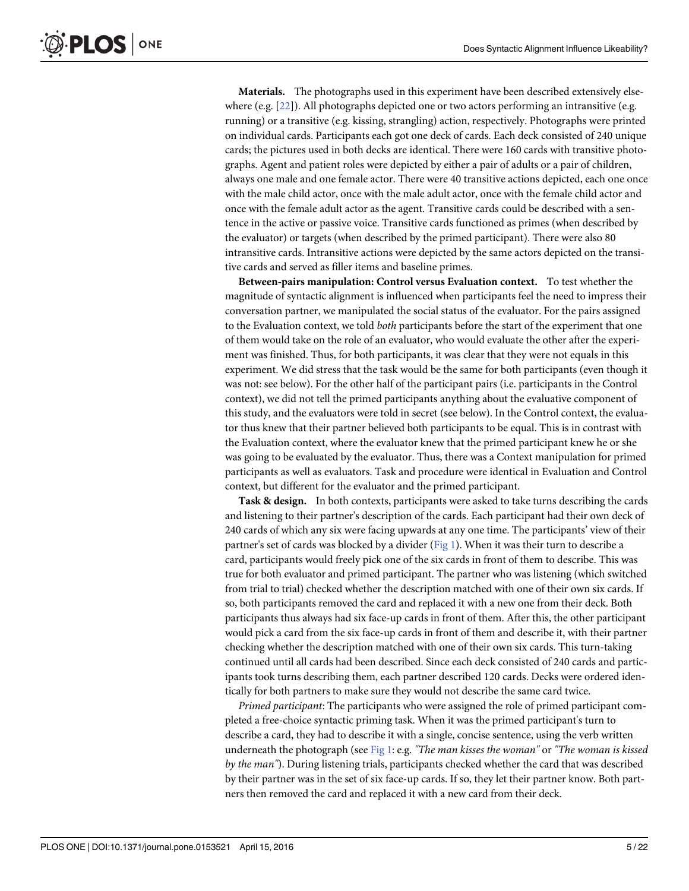<span id="page-4-0"></span>Materials. The photographs used in this experiment have been described extensively else-where (e.g. [\[22](#page-20-0)]). All photographs depicted one or two actors performing an intransitive (e.g. running) or a transitive (e.g. kissing, strangling) action, respectively. Photographs were printed on individual cards. Participants each got one deck of cards. Each deck consisted of 240 unique cards; the pictures used in both decks are identical. There were 160 cards with transitive photographs. Agent and patient roles were depicted by either a pair of adults or a pair of children, always one male and one female actor. There were 40 transitive actions depicted, each one once with the male child actor, once with the male adult actor, once with the female child actor and once with the female adult actor as the agent. Transitive cards could be described with a sentence in the active or passive voice. Transitive cards functioned as primes (when described by the evaluator) or targets (when described by the primed participant). There were also 80 intransitive cards. Intransitive actions were depicted by the same actors depicted on the transitive cards and served as filler items and baseline primes.

Between-pairs manipulation: Control versus Evaluation context. To test whether the magnitude of syntactic alignment is influenced when participants feel the need to impress their conversation partner, we manipulated the social status of the evaluator. For the pairs assigned to the Evaluation context, we told *both* participants before the start of the experiment that one of them would take on the role of an evaluator, who would evaluate the other after the experiment was finished. Thus, for both participants, it was clear that they were not equals in this experiment. We did stress that the task would be the same for both participants (even though it was not: see below). For the other half of the participant pairs (i.e. participants in the Control context), we did not tell the primed participants anything about the evaluative component of this study, and the evaluators were told in secret (see below). In the Control context, the evaluator thus knew that their partner believed both participants to be equal. This is in contrast with the Evaluation context, where the evaluator knew that the primed participant knew he or she was going to be evaluated by the evaluator. Thus, there was a Context manipulation for primed participants as well as evaluators. Task and procedure were identical in Evaluation and Control context, but different for the evaluator and the primed participant.

Task & design. In both contexts, participants were asked to take turns describing the cards and listening to their partner's description of the cards. Each participant had their own deck of 240 cards of which any six were facing upwards at any one time. The participants' view of their partner's set of cards was blocked by a divider ( $Fig 1$ ). When it was their turn to describe a card, participants would freely pick one of the six cards in front of them to describe. This was true for both evaluator and primed participant. The partner who was listening (which switched from trial to trial) checked whether the description matched with one of their own six cards. If so, both participants removed the card and replaced it with a new one from their deck. Both participants thus always had six face-up cards in front of them. After this, the other participant would pick a card from the six face-up cards in front of them and describe it, with their partner checking whether the description matched with one of their own six cards. This turn-taking continued until all cards had been described. Since each deck consisted of 240 cards and participants took turns describing them, each partner described 120 cards. Decks were ordered identically for both partners to make sure they would not describe the same card twice.

Primed participant: The participants who were assigned the role of primed participant completed a free-choice syntactic priming task. When it was the primed participant's turn to describe a card, they had to describe it with a single, concise sentence, using the verb written underneath the photograph (see [Fig 1:](#page-5-0) e.g. "The man kisses the woman" or "The woman is kissed by the man"). During listening trials, participants checked whether the card that was described by their partner was in the set of six face-up cards. If so, they let their partner know. Both partners then removed the card and replaced it with a new card from their deck.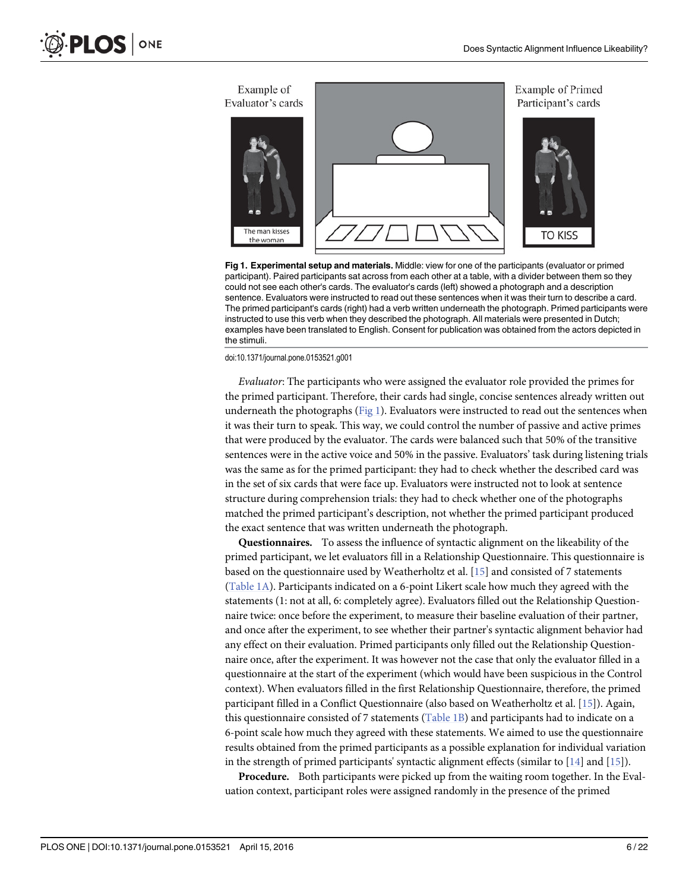<span id="page-5-0"></span>

[Fig 1. E](#page-4-0)xperimental setup and materials. Middle: view for one of the participants (evaluator or primed participant). Paired participants sat across from each other at a table, with a divider between them so they could not see each other's cards. The evaluator's cards (left) showed a photograph and a description sentence. Evaluators were instructed to read out these sentences when it was their turn to describe a card. The primed participant's cards (right) had a verb written underneath the photograph. Primed participants were instructed to use this verb when they described the photograph. All materials were presented in Dutch; examples have been translated to English. Consent for publication was obtained from the actors depicted in the stimuli.

doi:10.1371/journal.pone.0153521.g001

Evaluator: The participants who were assigned the evaluator role provided the primes for the primed participant. Therefore, their cards had single, concise sentences already written out underneath the photographs (Fig 1). Evaluators were instructed to read out the sentences when it was their turn to speak. This way, we could control the number of passive and active primes that were produced by the evaluator. The cards were balanced such that 50% of the transitive sentences were in the active voice and 50% in the passive. Evaluators' task during listening trials was the same as for the primed participant: they had to check whether the described card was in the set of six cards that were face up. Evaluators were instructed not to look at sentence structure during comprehension trials: they had to check whether one of the photographs matched the primed participant's description, not whether the primed participant produced the exact sentence that was written underneath the photograph.

Questionnaires. To assess the influence of syntactic alignment on the likeability of the primed participant, we let evaluators fill in a Relationship Questionnaire. This questionnaire is based on the questionnaire used by Weatherholtz et al. [[15](#page-20-0)] and consisted of 7 statements [\(Table 1A\)](#page-6-0). Participants indicated on a 6-point Likert scale how much they agreed with the statements (1: not at all, 6: completely agree). Evaluators filled out the Relationship Questionnaire twice: once before the experiment, to measure their baseline evaluation of their partner, and once after the experiment, to see whether their partner's syntactic alignment behavior had any effect on their evaluation. Primed participants only filled out the Relationship Questionnaire once, after the experiment. It was however not the case that only the evaluator filled in a questionnaire at the start of the experiment (which would have been suspicious in the Control context). When evaluators filled in the first Relationship Questionnaire, therefore, the primed participant filled in a Conflict Questionnaire (also based on Weatherholtz et al. [\[15\]](#page-20-0)). Again, this questionnaire consisted of 7 statements ([Table 1B](#page-6-0)) and participants had to indicate on a 6-point scale how much they agreed with these statements. We aimed to use the questionnaire results obtained from the primed participants as a possible explanation for individual variation in the strength of primed participants' syntactic alignment effects (similar to  $[14]$  and  $[15]$ ).

Procedure. Both participants were picked up from the waiting room together. In the Evaluation context, participant roles were assigned randomly in the presence of the primed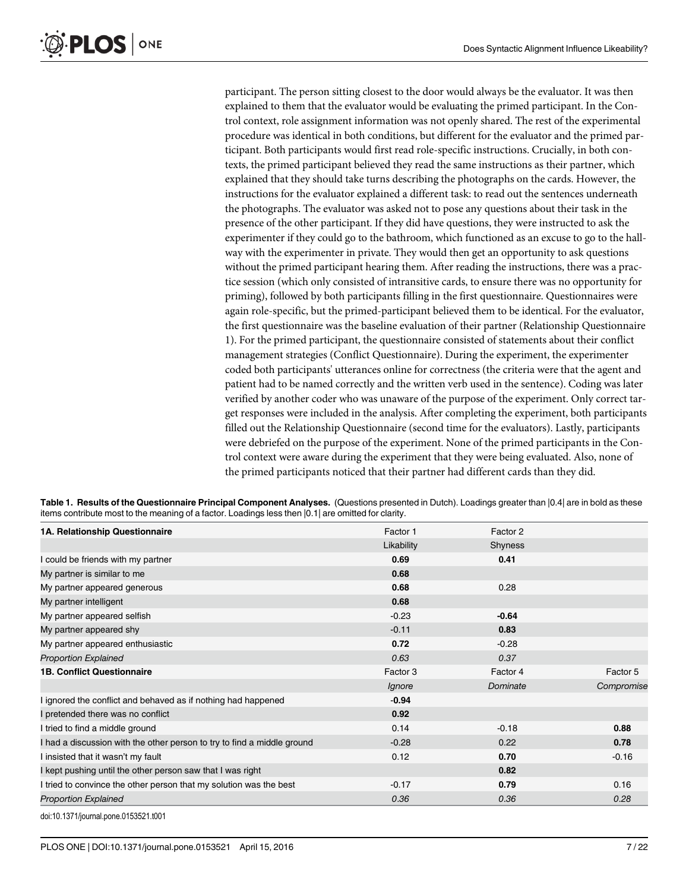<span id="page-6-0"></span>participant. The person sitting closest to the door would always be the evaluator. It was then explained to them that the evaluator would be evaluating the primed participant. In the Control context, role assignment information was not openly shared. The rest of the experimental procedure was identical in both conditions, but different for the evaluator and the primed participant. Both participants would first read role-specific instructions. Crucially, in both contexts, the primed participant believed they read the same instructions as their partner, which explained that they should take turns describing the photographs on the cards. However, the instructions for the evaluator explained a different task: to read out the sentences underneath the photographs. The evaluator was asked not to pose any questions about their task in the presence of the other participant. If they did have questions, they were instructed to ask the experimenter if they could go to the bathroom, which functioned as an excuse to go to the hallway with the experimenter in private. They would then get an opportunity to ask questions without the primed participant hearing them. After reading the instructions, there was a practice session (which only consisted of intransitive cards, to ensure there was no opportunity for priming), followed by both participants filling in the first questionnaire. Questionnaires were again role-specific, but the primed-participant believed them to be identical. For the evaluator, the first questionnaire was the baseline evaluation of their partner (Relationship Questionnaire 1). For the primed participant, the questionnaire consisted of statements about their conflict management strategies (Conflict Questionnaire). During the experiment, the experimenter coded both participants' utterances online for correctness (the criteria were that the agent and patient had to be named correctly and the written verb used in the sentence). Coding was later verified by another coder who was unaware of the purpose of the experiment. Only correct target responses were included in the analysis. After completing the experiment, both participants filled out the Relationship Questionnaire (second time for the evaluators). Lastly, participants were debriefed on the purpose of the experiment. None of the primed participants in the Control context were aware during the experiment that they were being evaluated. Also, none of the primed participants noticed that their partner had different cards than they did.

[Table 1.](#page-5-0) Results of the Questionnaire Principal Component Analyses. (Questions presented in Dutch). Loadings greater than [0.4] are in bold as these items contribute most to the meaning of a factor. Loadings less then |0.1| are omitted for clarity.

| 1A. Relationship Questionnaire                                          | Factor 1   | Factor 2 |            |
|-------------------------------------------------------------------------|------------|----------|------------|
|                                                                         | Likability | Shyness  |            |
| I could be friends with my partner                                      | 0.69       | 0.41     |            |
| My partner is similar to me                                             | 0.68       |          |            |
| My partner appeared generous                                            | 0.68       | 0.28     |            |
| My partner intelligent                                                  | 0.68       |          |            |
| My partner appeared selfish                                             | $-0.23$    | $-0.64$  |            |
| My partner appeared shy                                                 | $-0.11$    | 0.83     |            |
| My partner appeared enthusiastic                                        | 0.72       | $-0.28$  |            |
| <b>Proportion Explained</b>                                             | 0.63       | 0.37     |            |
| <b>1B. Conflict Questionnaire</b>                                       | Factor 3   | Factor 4 | Factor 5   |
|                                                                         | Ignore     | Dominate | Compromise |
| ignored the conflict and behaved as if nothing had happened             | $-0.94$    |          |            |
| pretended there was no conflict                                         | 0.92       |          |            |
| I tried to find a middle ground                                         | 0.14       | $-0.18$  | 0.88       |
| I had a discussion with the other person to try to find a middle ground | $-0.28$    | 0.22     | 0.78       |
| I insisted that it wasn't my fault                                      | 0.12       | 0.70     | $-0.16$    |
| I kept pushing until the other person saw that I was right              |            | 0.82     |            |
| I tried to convince the other person that my solution was the best      | $-0.17$    | 0.79     | 0.16       |
| <b>Proportion Explained</b>                                             | 0.36       | 0.36     | 0.28       |
| doi:10 1271/journal none 0152521 t001                                   |            |          |            |

doi:10.1371/journal.pone.0153521.t001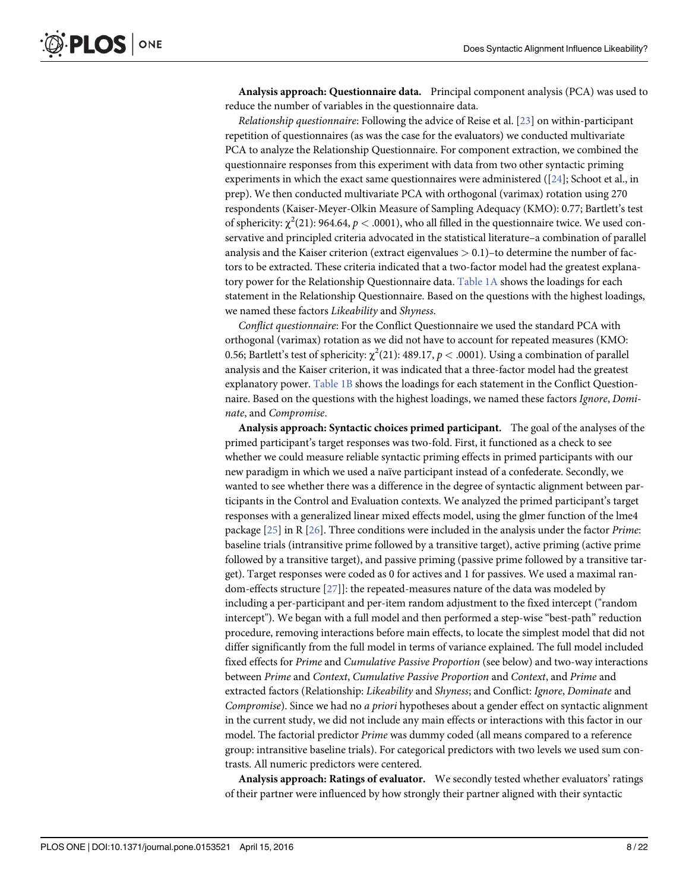<span id="page-7-0"></span>Analysis approach: Questionnaire data. Principal component analysis (PCA) was used to reduce the number of variables in the questionnaire data.

Relationship questionnaire: Following the advice of Reise et al. [\[23\]](#page-20-0) on within-participant repetition of questionnaires (as was the case for the evaluators) we conducted multivariate PCA to analyze the Relationship Questionnaire. For component extraction, we combined the questionnaire responses from this experiment with data from two other syntactic priming experiments in which the exact same questionnaires were administered ([\[24\]](#page-20-0); Schoot et al., in prep). We then conducted multivariate PCA with orthogonal (varimax) rotation using 270 respondents (Kaiser-Meyer-Olkin Measure of Sampling Adequacy (KMO): 0.77; Bartlett's test of sphericity:  $\chi^2(21)$ : 964.64,  $p < .0001$ ), who all filled in the questionnaire twice. We used conservative and principled criteria advocated in the statistical literature–a combination of parallel analysis and the Kaiser criterion (extract eigenvalues  $> 0.1$ )-to determine the number of factors to be extracted. These criteria indicated that a two-factor model had the greatest explanatory power for the Relationship Questionnaire data. [Table 1A](#page-6-0) shows the loadings for each statement in the Relationship Questionnaire. Based on the questions with the highest loadings, we named these factors Likeability and Shyness.

Conflict questionnaire: For the Conflict Questionnaire we used the standard PCA with orthogonal (varimax) rotation as we did not have to account for repeated measures (KMO: 0.56; Bartlett's test of sphericity:  $\chi^2$ (21): 489.17,  $p <$  .0001). Using a combination of parallel analysis and the Kaiser criterion, it was indicated that a three-factor model had the greatest explanatory power. [Table 1B](#page-6-0) shows the loadings for each statement in the Conflict Questionnaire. Based on the questions with the highest loadings, we named these factors Ignore, Dominate, and Compromise.

Analysis approach: Syntactic choices primed participant. The goal of the analyses of the primed participant's target responses was two-fold. First, it functioned as a check to see whether we could measure reliable syntactic priming effects in primed participants with our new paradigm in which we used a naïve participant instead of a confederate. Secondly, we wanted to see whether there was a difference in the degree of syntactic alignment between participants in the Control and Evaluation contexts. We analyzed the primed participant's target responses with a generalized linear mixed effects model, using the glmer function of the lme4 package [\[25](#page-20-0)] in R [[26](#page-20-0)]. Three conditions were included in the analysis under the factor Prime: baseline trials (intransitive prime followed by a transitive target), active priming (active prime followed by a transitive target), and passive priming (passive prime followed by a transitive target). Target responses were coded as 0 for actives and 1 for passives. We used a maximal random-effects structure [[27](#page-20-0)]]: the repeated-measures nature of the data was modeled by including a per-participant and per-item random adjustment to the fixed intercept ("random intercept"). We began with a full model and then performed a step-wise "best-path" reduction procedure, removing interactions before main effects, to locate the simplest model that did not differ significantly from the full model in terms of variance explained. The full model included fixed effects for Prime and Cumulative Passive Proportion (see below) and two-way interactions between Prime and Context, Cumulative Passive Proportion and Context, and Prime and extracted factors (Relationship: Likeability and Shyness; and Conflict: Ignore, Dominate and Compromise). Since we had no a priori hypotheses about a gender effect on syntactic alignment in the current study, we did not include any main effects or interactions with this factor in our model. The factorial predictor Prime was dummy coded (all means compared to a reference group: intransitive baseline trials). For categorical predictors with two levels we used sum contrasts. All numeric predictors were centered.

Analysis approach: Ratings of evaluator. We secondly tested whether evaluators' ratings of their partner were influenced by how strongly their partner aligned with their syntactic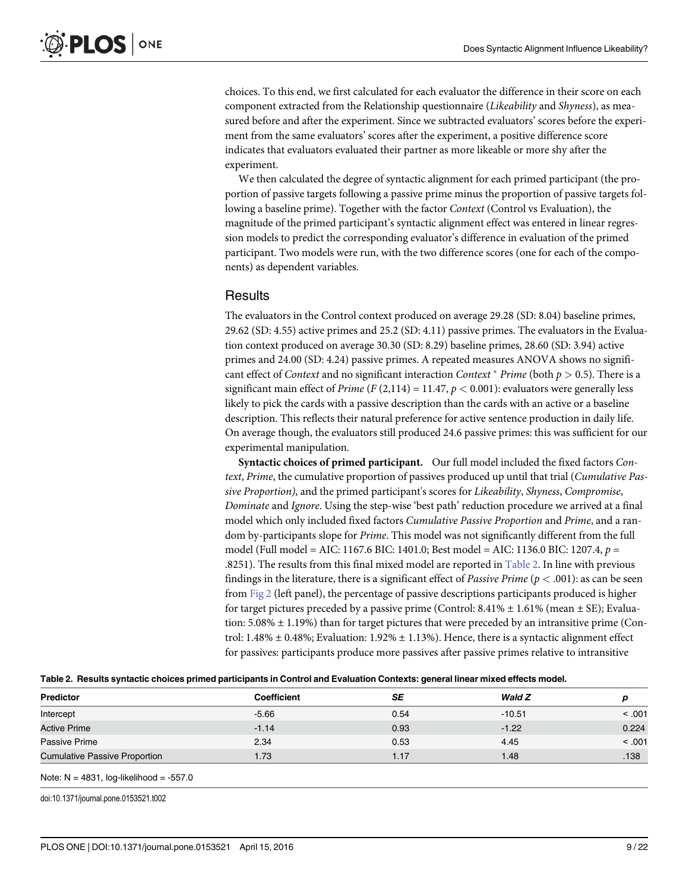<span id="page-8-0"></span>choices. To this end, we first calculated for each evaluator the difference in their score on each component extracted from the Relationship questionnaire *(Likeability* and *Shyness)*, as measured before and after the experiment. Since we subtracted evaluators' scores before the experiment from the same evaluators' scores after the experiment, a positive difference score indicates that evaluators evaluated their partner as more likeable or more shy after the experiment.

We then calculated the degree of syntactic alignment for each primed participant (the proportion of passive targets following a passive prime minus the proportion of passive targets following a baseline prime). Together with the factor Context (Control vs Evaluation), the magnitude of the primed participant's syntactic alignment effect was entered in linear regression models to predict the corresponding evaluator's difference in evaluation of the primed participant. Two models were run, with the two difference scores (one for each of the components) as dependent variables.

## **Results**

The evaluators in the Control context produced on average 29.28 (SD: 8.04) baseline primes, 29.62 (SD: 4.55) active primes and 25.2 (SD: 4.11) passive primes. The evaluators in the Evaluation context produced on average 30.30 (SD: 8.29) baseline primes, 28.60 (SD: 3.94) active primes and 24.00 (SD: 4.24) passive primes. A repeated measures ANOVA shows no significant effect of *Context* and no significant interaction *Context*  $*$  *Prime* (both  $p > 0.5$ ). There is a significant main effect of Prime (F (2,114) = 11.47,  $p < 0.001$ ): evaluators were generally less likely to pick the cards with a passive description than the cards with an active or a baseline description. This reflects their natural preference for active sentence production in daily life. On average though, the evaluators still produced 24.6 passive primes: this was sufficient for our experimental manipulation.

Syntactic choices of primed participant. Our full model included the fixed factors Context, Prime, the cumulative proportion of passives produced up until that trial (Cumulative Passive Proportion), and the primed participant's scores for Likeability, Shyness, Compromise, Dominate and Ignore. Using the step-wise 'best path' reduction procedure we arrived at a final model which only included fixed factors Cumulative Passive Proportion and Prime, and a random by-participants slope for Prime. This model was not significantly different from the full model (Full model = AIC: 1167.6 BIC: 1401.0; Best model = AIC: 1136.0 BIC: 1207.4, p = .8251). The results from this final mixed model are reported in Table 2. In line with previous findings in the literature, there is a significant effect of *Passive Prime* ( $p < .001$ ): as can be seen from [Fig 2](#page-9-0) (left panel), the percentage of passive descriptions participants produced is higher for target pictures preceded by a passive prime (Control:  $8.41\% \pm 1.61\%$  (mean  $\pm$  SE); Evaluation:  $5.08\% \pm 1.19\%$ ) than for target pictures that were preceded by an intransitive prime (Control:  $1.48\% \pm 0.48\%$ ; Evaluation:  $1.92\% \pm 1.13\%$ ). Hence, there is a syntactic alignment effect for passives: participants produce more passives after passive primes relative to intransitive

|  |  |  |  | Table 2. Results syntactic choices primed participants in Control and Evaluation Contexts: general linear mixed effects model. |
|--|--|--|--|--------------------------------------------------------------------------------------------------------------------------------|
|--|--|--|--|--------------------------------------------------------------------------------------------------------------------------------|

| <b>Predictor</b>                     | <b>Coefficient</b> | SE   | Wald Z   | D      |
|--------------------------------------|--------------------|------|----------|--------|
| Intercept                            | $-5.66$            | 0.54 | $-10.51$ | < .001 |
| <b>Active Prime</b>                  | $-1.14$            | 0.93 | $-1.22$  | 0.224  |
| Passive Prime                        | 2.34               | 0.53 | 4.45     | < .001 |
| <b>Cumulative Passive Proportion</b> | 1.73               | 1.17 | 1.48     | .138   |
|                                      |                    |      |          |        |

Note:  $N = 4831$ , log-likelihood =  $-557.0$ 

doi:10.1371/journal.pone.0153521.t002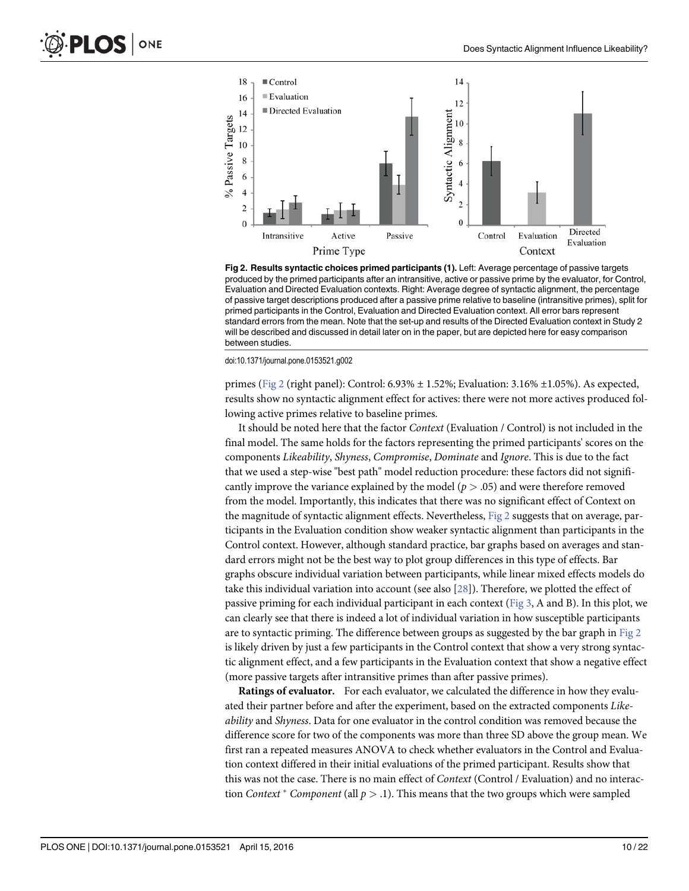<span id="page-9-0"></span>

[Fig 2. R](#page-8-0)esults syntactic choices primed participants (1). Left: Average percentage of passive targets produced by the primed participants after an intransitive, active or passive prime by the evaluator, for Control, Evaluation and Directed Evaluation contexts. Right: Average degree of syntactic alignment, the percentage of passive target descriptions produced after a passive prime relative to baseline (intransitive primes), split for primed participants in the Control, Evaluation and Directed Evaluation context. All error bars represent standard errors from the mean. Note that the set-up and results of the Directed Evaluation context in Study 2 will be described and discussed in detail later on in the paper, but are depicted here for easy comparison between studies.

doi:10.1371/journal.pone.0153521.g002

primes (Fig 2 (right panel): Control: 6.93%  $\pm$  1.52%; Evaluation: 3.16%  $\pm$ 1.05%). As expected, results show no syntactic alignment effect for actives: there were not more actives produced following active primes relative to baseline primes.

It should be noted here that the factor Context (Evaluation / Control) is not included in the final model. The same holds for the factors representing the primed participants' scores on the components Likeability, Shyness, Compromise, Dominate and Ignore. This is due to the fact that we used a step-wise "best path" model reduction procedure: these factors did not significantly improve the variance explained by the model ( $p > .05$ ) and were therefore removed from the model. Importantly, this indicates that there was no significant effect of Context on the magnitude of syntactic alignment effects. Nevertheless, Fig 2 suggests that on average, participants in the Evaluation condition show weaker syntactic alignment than participants in the Control context. However, although standard practice, bar graphs based on averages and standard errors might not be the best way to plot group differences in this type of effects. Bar graphs obscure individual variation between participants, while linear mixed effects models do take this individual variation into account (see also  $[28]$  $[28]$  $[28]$ ). Therefore, we plotted the effect of passive priming for each individual participant in each context ([Fig 3](#page-10-0), A and B). In this plot, we can clearly see that there is indeed a lot of individual variation in how susceptible participants are to syntactic priming. The difference between groups as suggested by the bar graph in Fig 2 is likely driven by just a few participants in the Control context that show a very strong syntactic alignment effect, and a few participants in the Evaluation context that show a negative effect (more passive targets after intransitive primes than after passive primes).

Ratings of evaluator. For each evaluator, we calculated the difference in how they evaluated their partner before and after the experiment, based on the extracted components Likeability and Shyness. Data for one evaluator in the control condition was removed because the difference score for two of the components was more than three SD above the group mean. We first ran a repeated measures ANOVA to check whether evaluators in the Control and Evaluation context differed in their initial evaluations of the primed participant. Results show that this was not the case. There is no main effect of Context (Control / Evaluation) and no interaction Context  $*$  Component (all  $p > 0.1$ ). This means that the two groups which were sampled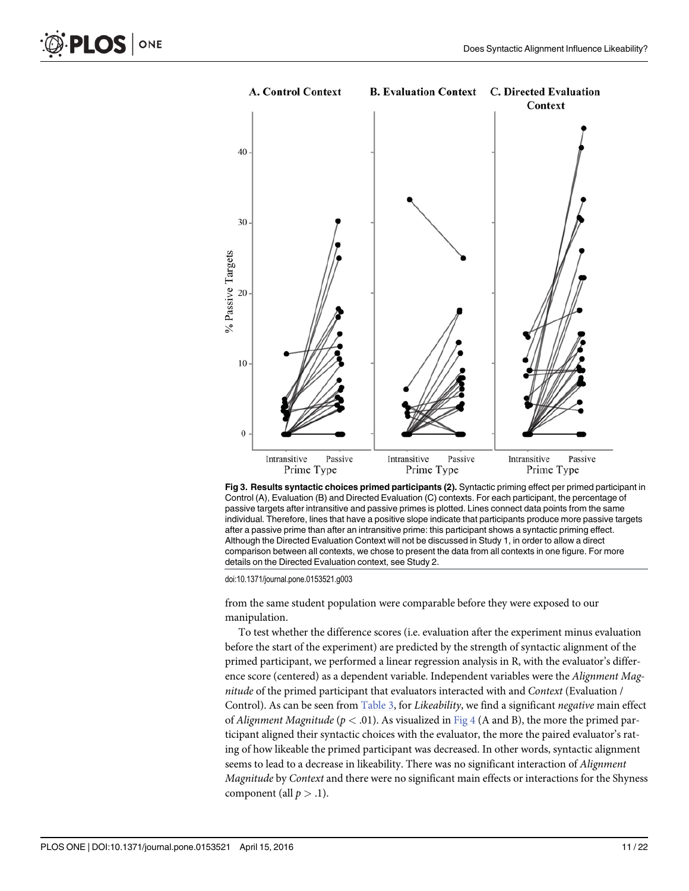<span id="page-10-0"></span>



[Fig 3. R](#page-9-0)esults syntactic choices primed participants (2). Syntactic priming effect per primed participant in Control (A), Evaluation (B) and Directed Evaluation (C) contexts. For each participant, the percentage of passive targets after intransitive and passive primes is plotted. Lines connect data points from the same individual. Therefore, lines that have a positive slope indicate that participants produce more passive targets after a passive prime than after an intransitive prime: this participant shows a syntactic priming effect. Although the Directed Evaluation Context will not be discussed in Study 1, in order to allow a direct comparison between all contexts, we chose to present the data from all contexts in one figure. For more details on the Directed Evaluation context, see Study 2.

doi:10.1371/journal.pone.0153521.g003

from the same student population were comparable before they were exposed to our manipulation.

To test whether the difference scores (i.e. evaluation after the experiment minus evaluation before the start of the experiment) are predicted by the strength of syntactic alignment of the primed participant, we performed a linear regression analysis in R, with the evaluator's difference score (centered) as a dependent variable. Independent variables were the Alignment Magnitude of the primed participant that evaluators interacted with and Context (Evaluation / Control). As can be seen from [Table 3](#page-11-0), for Likeability, we find a significant negative main effect of Alignment Magnitude ( $p < .01$ ). As visualized in [Fig 4](#page-12-0) (A and B), the more the primed participant aligned their syntactic choices with the evaluator, the more the paired evaluator's rating of how likeable the primed participant was decreased. In other words, syntactic alignment seems to lead to a decrease in likeability. There was no significant interaction of Alignment Magnitude by Context and there were no significant main effects or interactions for the Shyness component (all  $p > .1$ ).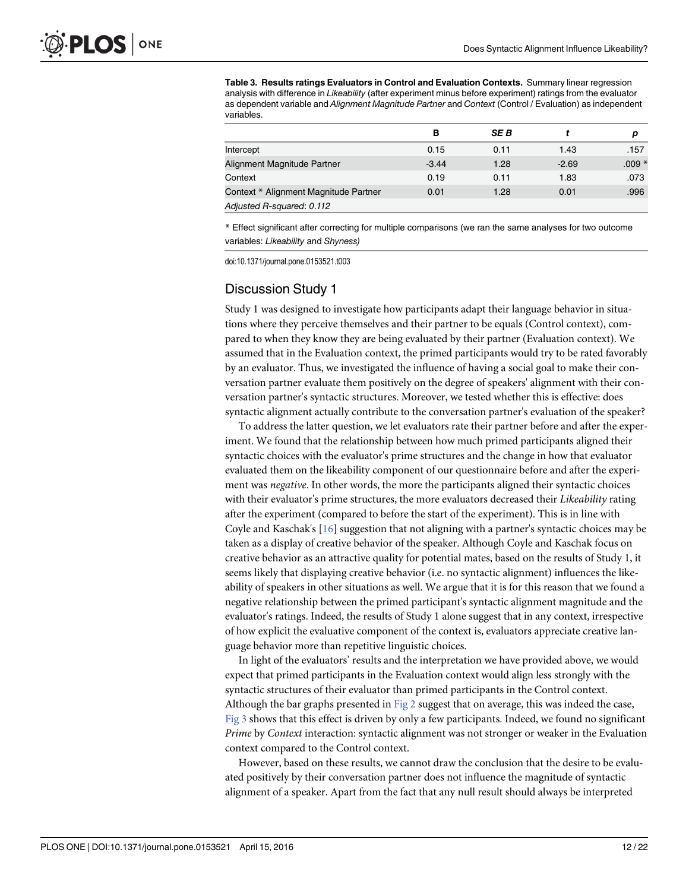<span id="page-11-0"></span>[Table 3.](#page-10-0) Results ratings Evaluators in Control and Evaluation Contexts. Summary linear regression analysis with difference in Likeability (after experiment minus before experiment) ratings from the evaluator as dependent variable and Alignment Magnitude Partner and Context (Control / Evaluation) as independent variables.

|                                       | в       | <b>SEB</b> |         | D       |
|---------------------------------------|---------|------------|---------|---------|
| Intercept                             | 0.15    | 0.11       | 1.43    | .157    |
| Alignment Magnitude Partner           | $-3.44$ | 1.28       | $-2.69$ | $.009*$ |
| Context                               | 0.19    | 0.11       | 1.83    | .073    |
| Context * Alignment Magnitude Partner | 0.01    | 1.28       | 0.01    | .996    |
| Adjusted R-squared: 0.112             |         |            |         |         |

\* Effect significant after correcting for multiple comparisons (we ran the same analyses for two outcome variables: Likeability and Shyness)

doi:10.1371/journal.pone.0153521.t003

# Discussion Study 1

Study 1 was designed to investigate how participants adapt their language behavior in situations where they perceive themselves and their partner to be equals (Control context), compared to when they know they are being evaluated by their partner (Evaluation context). We assumed that in the Evaluation context, the primed participants would try to be rated favorably by an evaluator. Thus, we investigated the influence of having a social goal to make their conversation partner evaluate them positively on the degree of speakers' alignment with their conversation partner's syntactic structures. Moreover, we tested whether this is effective: does syntactic alignment actually contribute to the conversation partner's evaluation of the speaker?

To address the latter question, we let evaluators rate their partner before and after the experiment. We found that the relationship between how much primed participants aligned their syntactic choices with the evaluator's prime structures and the change in how that evaluator evaluated them on the likeability component of our questionnaire before and after the experiment was negative. In other words, the more the participants aligned their syntactic choices with their evaluator's prime structures, the more evaluators decreased their Likeability rating after the experiment (compared to before the start of the experiment). This is in line with Coyle and Kaschak's [[16](#page-20-0)] suggestion that not aligning with a partner's syntactic choices may be taken as a display of creative behavior of the speaker. Although Coyle and Kaschak focus on creative behavior as an attractive quality for potential mates, based on the results of Study 1, it seems likely that displaying creative behavior (i.e. no syntactic alignment) influences the likeability of speakers in other situations as well. We argue that it is for this reason that we found a negative relationship between the primed participant's syntactic alignment magnitude and the evaluator's ratings. Indeed, the results of Study 1 alone suggest that in any context, irrespective of how explicit the evaluative component of the context is, evaluators appreciate creative language behavior more than repetitive linguistic choices.

In light of the evaluators' results and the interpretation we have provided above, we would expect that primed participants in the Evaluation context would align less strongly with the syntactic structures of their evaluator than primed participants in the Control context. Although the bar graphs presented in  $Fig 2$  suggest that on average, this was indeed the case, [Fig 3](#page-10-0) shows that this effect is driven by only a few participants. Indeed, we found no significant Prime by Context interaction: syntactic alignment was not stronger or weaker in the Evaluation context compared to the Control context.

However, based on these results, we cannot draw the conclusion that the desire to be evaluated positively by their conversation partner does not influence the magnitude of syntactic alignment of a speaker. Apart from the fact that any null result should always be interpreted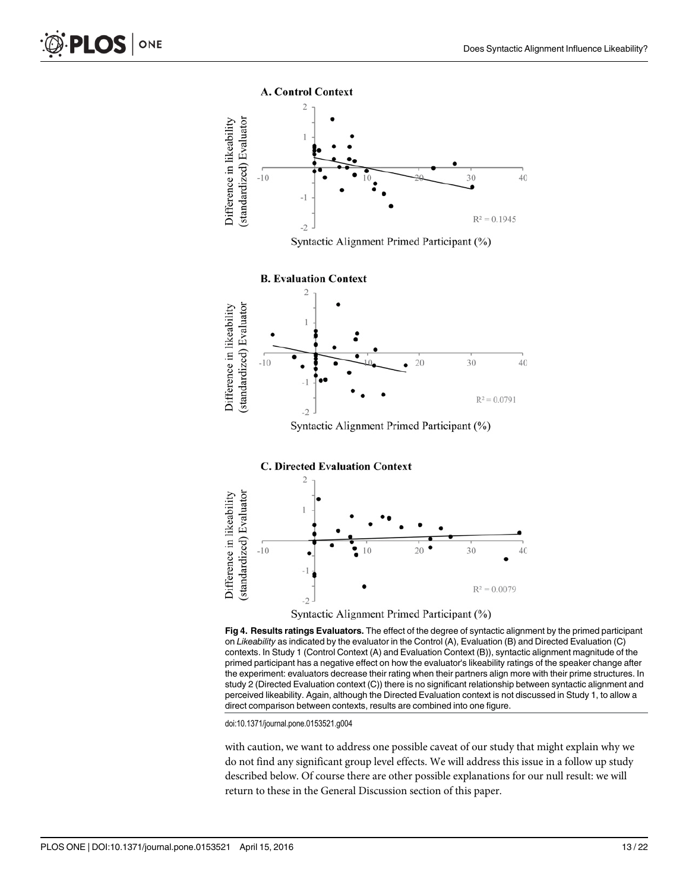<span id="page-12-0"></span>

on Likeability as indicated by the evaluator in the Control (A), Evaluation (B) and Directed Evaluation (C) contexts. In Study 1 (Control Context (A) and Evaluation Context (B)), syntactic alignment magnitude of the primed participant has a negative effect on how the evaluator's likeability ratings of the speaker change after the experiment: evaluators decrease their rating when their partners align more with their prime structures. In study 2 (Directed Evaluation context (C)) there is no significant relationship between syntactic alignment and perceived likeability. Again, although the Directed Evaluation context is not discussed in Study 1, to allow a direct comparison between contexts, results are combined into one figure.

doi:10.1371/journal.pone.0153521.g004

with caution, we want to address one possible caveat of our study that might explain why we do not find any significant group level effects. We will address this issue in a follow up study described below. Of course there are other possible explanations for our null result: we will return to these in the General Discussion section of this paper.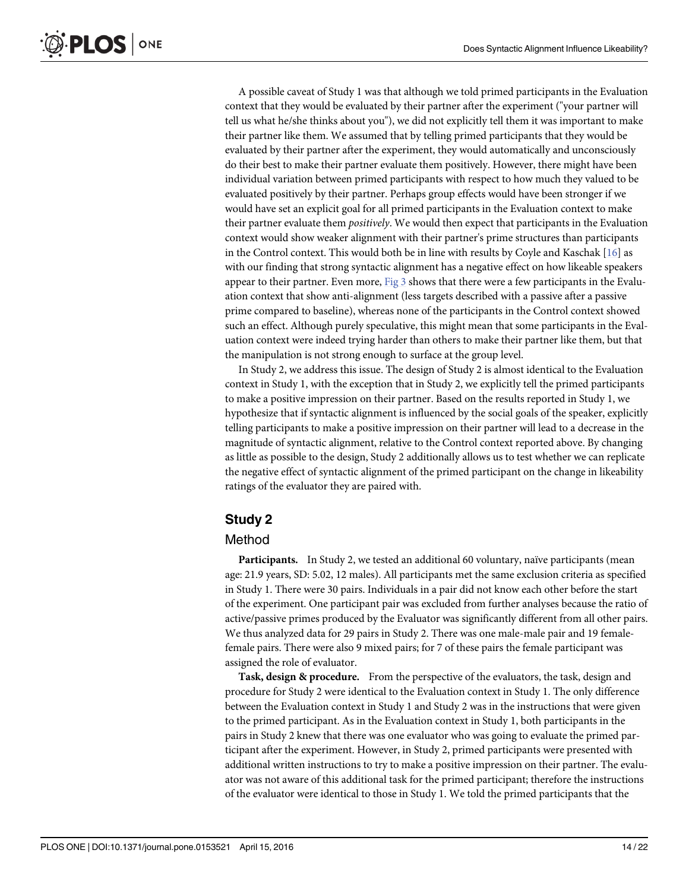A possible caveat of Study 1 was that although we told primed participants in the Evaluation context that they would be evaluated by their partner after the experiment ("your partner will tell us what he/she thinks about you"), we did not explicitly tell them it was important to make their partner like them. We assumed that by telling primed participants that they would be evaluated by their partner after the experiment, they would automatically and unconsciously do their best to make their partner evaluate them positively. However, there might have been individual variation between primed participants with respect to how much they valued to be evaluated positively by their partner. Perhaps group effects would have been stronger if we would have set an explicit goal for all primed participants in the Evaluation context to make their partner evaluate them *positively*. We would then expect that participants in the Evaluation context would show weaker alignment with their partner's prime structures than participants in the Control context. This would both be in line with results by Coyle and Kaschak  $[16]$  as with our finding that strong syntactic alignment has a negative effect on how likeable speakers appear to their partner. Even more, [Fig 3](#page-10-0) shows that there were a few participants in the Evaluation context that show anti-alignment (less targets described with a passive after a passive prime compared to baseline), whereas none of the participants in the Control context showed such an effect. Although purely speculative, this might mean that some participants in the Evaluation context were indeed trying harder than others to make their partner like them, but that the manipulation is not strong enough to surface at the group level.

In Study 2, we address this issue. The design of Study 2 is almost identical to the Evaluation context in Study 1, with the exception that in Study 2, we explicitly tell the primed participants to make a positive impression on their partner. Based on the results reported in Study 1, we hypothesize that if syntactic alignment is influenced by the social goals of the speaker, explicitly telling participants to make a positive impression on their partner will lead to a decrease in the magnitude of syntactic alignment, relative to the Control context reported above. By changing as little as possible to the design, Study 2 additionally allows us to test whether we can replicate the negative effect of syntactic alignment of the primed participant on the change in likeability ratings of the evaluator they are paired with.

# Study 2

#### Method

Participants. In Study 2, we tested an additional 60 voluntary, naïve participants (mean age: 21.9 years, SD: 5.02, 12 males). All participants met the same exclusion criteria as specified in Study 1. There were 30 pairs. Individuals in a pair did not know each other before the start of the experiment. One participant pair was excluded from further analyses because the ratio of active/passive primes produced by the Evaluator was significantly different from all other pairs. We thus analyzed data for 29 pairs in Study 2. There was one male-male pair and 19 femalefemale pairs. There were also 9 mixed pairs; for 7 of these pairs the female participant was assigned the role of evaluator.

Task, design & procedure. From the perspective of the evaluators, the task, design and procedure for Study 2 were identical to the Evaluation context in Study 1. The only difference between the Evaluation context in Study 1 and Study 2 was in the instructions that were given to the primed participant. As in the Evaluation context in Study 1, both participants in the pairs in Study 2 knew that there was one evaluator who was going to evaluate the primed participant after the experiment. However, in Study 2, primed participants were presented with additional written instructions to try to make a positive impression on their partner. The evaluator was not aware of this additional task for the primed participant; therefore the instructions of the evaluator were identical to those in Study 1. We told the primed participants that the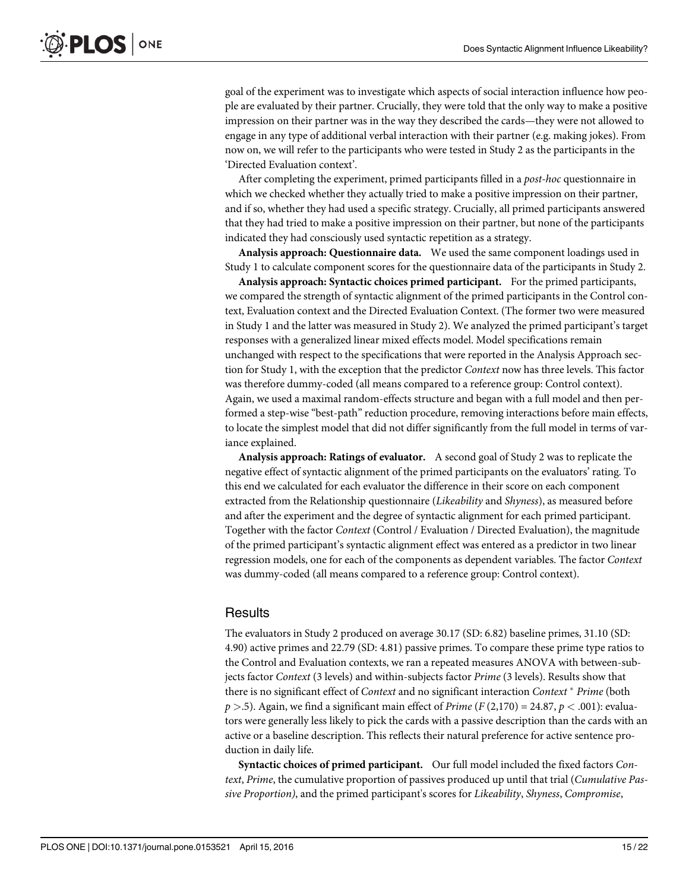goal of the experiment was to investigate which aspects of social interaction influence how people are evaluated by their partner. Crucially, they were told that the only way to make a positive impression on their partner was in the way they described the cards—they were not allowed to engage in any type of additional verbal interaction with their partner (e.g. making jokes). From now on, we will refer to the participants who were tested in Study 2 as the participants in the 'Directed Evaluation context'.

After completing the experiment, primed participants filled in a *post-hoc* questionnaire in which we checked whether they actually tried to make a positive impression on their partner, and if so, whether they had used a specific strategy. Crucially, all primed participants answered that they had tried to make a positive impression on their partner, but none of the participants indicated they had consciously used syntactic repetition as a strategy.

Analysis approach: Questionnaire data. We used the same component loadings used in Study 1 to calculate component scores for the questionnaire data of the participants in Study 2.

Analysis approach: Syntactic choices primed participant. For the primed participants, we compared the strength of syntactic alignment of the primed participants in the Control context, Evaluation context and the Directed Evaluation Context. (The former two were measured in Study 1 and the latter was measured in Study 2). We analyzed the primed participant's target responses with a generalized linear mixed effects model. Model specifications remain unchanged with respect to the specifications that were reported in the Analysis Approach section for Study 1, with the exception that the predictor Context now has three levels. This factor was therefore dummy-coded (all means compared to a reference group: Control context). Again, we used a maximal random-effects structure and began with a full model and then performed a step-wise "best-path" reduction procedure, removing interactions before main effects, to locate the simplest model that did not differ significantly from the full model in terms of variance explained.

Analysis approach: Ratings of evaluator. A second goal of Study 2 was to replicate the negative effect of syntactic alignment of the primed participants on the evaluators' rating. To this end we calculated for each evaluator the difference in their score on each component extracted from the Relationship questionnaire (Likeability and Shyness), as measured before and after the experiment and the degree of syntactic alignment for each primed participant. Together with the factor Context (Control / Evaluation / Directed Evaluation), the magnitude of the primed participant's syntactic alignment effect was entered as a predictor in two linear regression models, one for each of the components as dependent variables. The factor Context was dummy-coded (all means compared to a reference group: Control context).

#### **Results**

The evaluators in Study 2 produced on average 30.17 (SD: 6.82) baseline primes, 31.10 (SD: 4.90) active primes and 22.79 (SD: 4.81) passive primes. To compare these prime type ratios to the Control and Evaluation contexts, we ran a repeated measures ANOVA with between-subjects factor Context (3 levels) and within-subjects factor Prime (3 levels). Results show that there is no significant effect of *Context* and no significant interaction *Context*  $*$  *Prime* (both  $p > 0.5$ . Again, we find a significant main effect of Prime (F (2,170) = 24.87,  $p < 0.001$ ): evaluators were generally less likely to pick the cards with a passive description than the cards with an active or a baseline description. This reflects their natural preference for active sentence production in daily life.

Syntactic choices of primed participant. Our full model included the fixed factors Context, Prime, the cumulative proportion of passives produced up until that trial (Cumulative Passive Proportion), and the primed participant's scores for Likeability, Shyness, Compromise,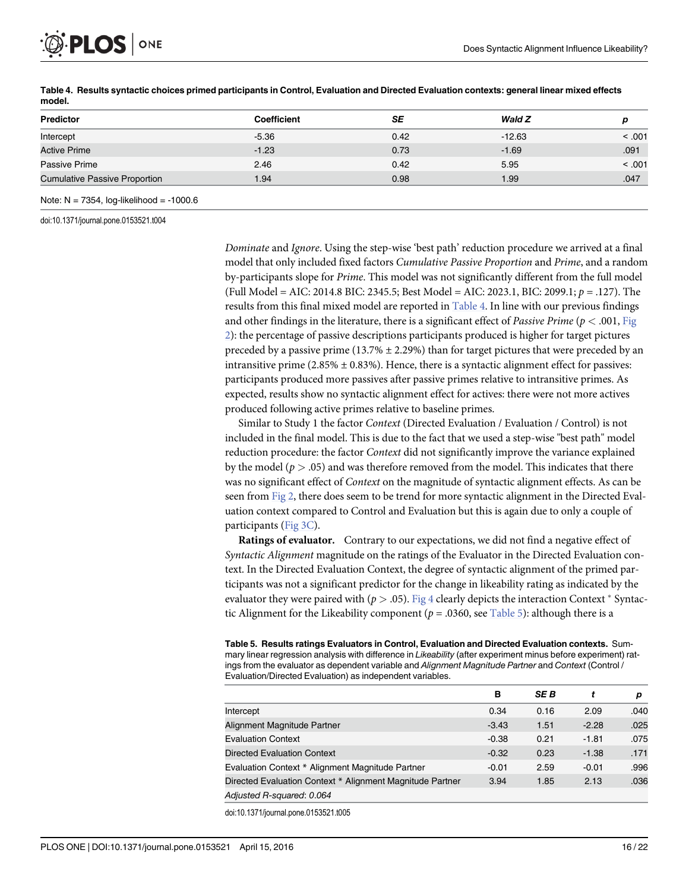

| <b>Predictor</b>                     | Coefficient | SE   | Wald Z   | D      |
|--------------------------------------|-------------|------|----------|--------|
| Intercept                            | $-5.36$     | 0.42 | $-12.63$ | < .001 |
| <b>Active Prime</b>                  | $-1.23$     | 0.73 | $-1.69$  | .091   |
| Passive Prime                        | 2.46        | 0.42 | 5.95     | < .001 |
| <b>Cumulative Passive Proportion</b> | 1.94        | 0.98 | 1.99     | .047   |
|                                      |             |      |          |        |

Table 4. Results syntactic choices primed participants in Control, Evaluation and Directed Evaluation contexts: general linear mixed effects model.

Note:  $N = 7354$ , log-likelihood =  $-1000.6$ 

doi:10.1371/journal.pone.0153521.t004

Dominate and Ignore. Using the step-wise 'best path' reduction procedure we arrived at a final model that only included fixed factors Cumulative Passive Proportion and Prime, and a random by-participants slope for Prime. This model was not significantly different from the full model (Full Model = AIC: 2014.8 BIC: 2345.5; Best Model = AIC: 2023.1, BIC: 2099.1;  $p = .127$ ). The results from this final mixed model are reported in Table 4. In line with our previous findings and other findings in the literature, there is a significant effect of *Passive Prime* ( $p < .001$ , [Fig](#page-9-0). [2\)](#page-9-0): the percentage of passive descriptions participants produced is higher for target pictures preceded by a passive prime (13.7%  $\pm$  2.29%) than for target pictures that were preceded by an intransitive prime  $(2.85\% \pm 0.83\%)$ . Hence, there is a syntactic alignment effect for passives: participants produced more passives after passive primes relative to intransitive primes. As expected, results show no syntactic alignment effect for actives: there were not more actives produced following active primes relative to baseline primes.

Similar to Study 1 the factor Context (Directed Evaluation / Evaluation / Control) is not included in the final model. This is due to the fact that we used a step-wise "best path" model reduction procedure: the factor Context did not significantly improve the variance explained by the model ( $p > .05$ ) and was therefore removed from the model. This indicates that there was no significant effect of Context on the magnitude of syntactic alignment effects. As can be seen from [Fig 2,](#page-9-0) there does seem to be trend for more syntactic alignment in the Directed Evaluation context compared to Control and Evaluation but this is again due to only a couple of participants ([Fig 3C\)](#page-10-0).

Ratings of evaluator. Contrary to our expectations, we did not find a negative effect of Syntactic Alignment magnitude on the ratings of the Evaluator in the Directed Evaluation context. In the Directed Evaluation Context, the degree of syntactic alignment of the primed participants was not a significant predictor for the change in likeability rating as indicated by the evaluator they were paired with ( $p > .05$ ). [Fig 4](#page-12-0) clearly depicts the interaction Context  $*$  Syntactic Alignment for the Likeability component ( $p = .0360$ , see Table 5): although there is a

Table 5. Results ratings Evaluators in Control, Evaluation and Directed Evaluation contexts. Summary linear regression analysis with difference in Likeability (after experiment minus before experiment) ratings from the evaluator as dependent variable and Alignment Magnitude Partner and Context (Control / Evaluation/Directed Evaluation) as independent variables.

|                                                           | в       | <b>SEB</b> |         | p    |
|-----------------------------------------------------------|---------|------------|---------|------|
| Intercept                                                 | 0.34    | 0.16       | 2.09    | .040 |
| Alignment Magnitude Partner                               | $-3.43$ | 1.51       | $-2.28$ | .025 |
| <b>Evaluation Context</b>                                 | $-0.38$ | 0.21       | $-1.81$ | .075 |
| <b>Directed Evaluation Context</b>                        | $-0.32$ | 0.23       | $-1.38$ | .171 |
| Evaluation Context * Alignment Magnitude Partner          | $-0.01$ | 2.59       | $-0.01$ | .996 |
| Directed Evaluation Context * Alignment Magnitude Partner | 3.94    | 1.85       | 2.13    | .036 |
| Adjusted R-squared: 0.064                                 |         |            |         |      |

doi:10.1371/journal.pone.0153521.t005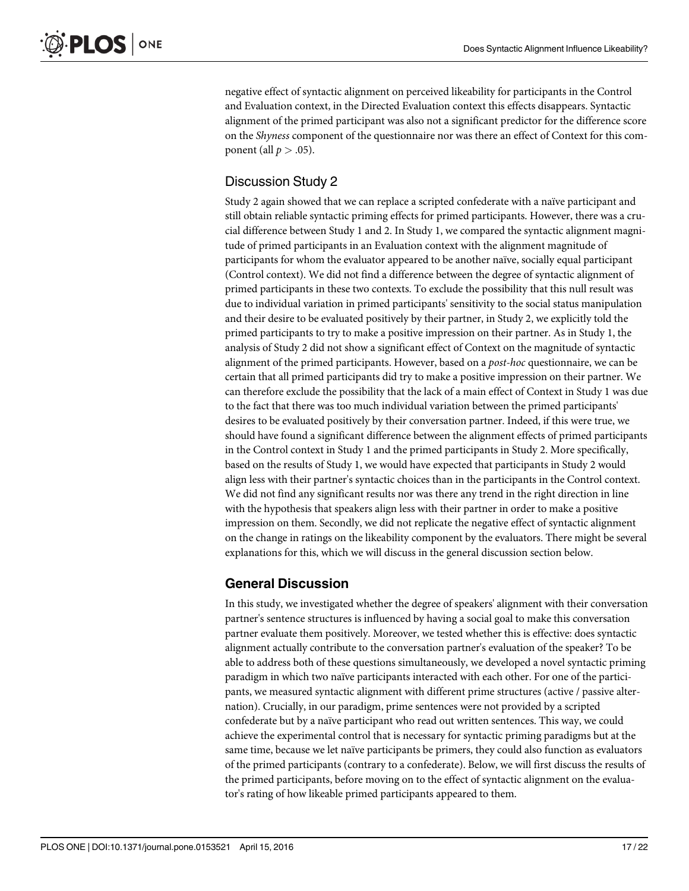negative effect of syntactic alignment on perceived likeability for participants in the Control and Evaluation context, in the Directed Evaluation context this effects disappears. Syntactic alignment of the primed participant was also not a significant predictor for the difference score on the Shyness component of the questionnaire nor was there an effect of Context for this component (all  $p > .05$ ).

# Discussion Study 2

Study 2 again showed that we can replace a scripted confederate with a naïve participant and still obtain reliable syntactic priming effects for primed participants. However, there was a crucial difference between Study 1 and 2. In Study 1, we compared the syntactic alignment magnitude of primed participants in an Evaluation context with the alignment magnitude of participants for whom the evaluator appeared to be another naïve, socially equal participant (Control context). We did not find a difference between the degree of syntactic alignment of primed participants in these two contexts. To exclude the possibility that this null result was due to individual variation in primed participants' sensitivity to the social status manipulation and their desire to be evaluated positively by their partner, in Study 2, we explicitly told the primed participants to try to make a positive impression on their partner. As in Study 1, the analysis of Study 2 did not show a significant effect of Context on the magnitude of syntactic alignment of the primed participants. However, based on a post-hoc questionnaire, we can be certain that all primed participants did try to make a positive impression on their partner. We can therefore exclude the possibility that the lack of a main effect of Context in Study 1 was due to the fact that there was too much individual variation between the primed participants' desires to be evaluated positively by their conversation partner. Indeed, if this were true, we should have found a significant difference between the alignment effects of primed participants in the Control context in Study 1 and the primed participants in Study 2. More specifically, based on the results of Study 1, we would have expected that participants in Study 2 would align less with their partner's syntactic choices than in the participants in the Control context. We did not find any significant results nor was there any trend in the right direction in line with the hypothesis that speakers align less with their partner in order to make a positive impression on them. Secondly, we did not replicate the negative effect of syntactic alignment on the change in ratings on the likeability component by the evaluators. There might be several explanations for this, which we will discuss in the general discussion section below.

# General Discussion

In this study, we investigated whether the degree of speakers' alignment with their conversation partner's sentence structures is influenced by having a social goal to make this conversation partner evaluate them positively. Moreover, we tested whether this is effective: does syntactic alignment actually contribute to the conversation partner's evaluation of the speaker? To be able to address both of these questions simultaneously, we developed a novel syntactic priming paradigm in which two naïve participants interacted with each other. For one of the participants, we measured syntactic alignment with different prime structures (active / passive alternation). Crucially, in our paradigm, prime sentences were not provided by a scripted confederate but by a naïve participant who read out written sentences. This way, we could achieve the experimental control that is necessary for syntactic priming paradigms but at the same time, because we let naïve participants be primers, they could also function as evaluators of the primed participants (contrary to a confederate). Below, we will first discuss the results of the primed participants, before moving on to the effect of syntactic alignment on the evaluator's rating of how likeable primed participants appeared to them.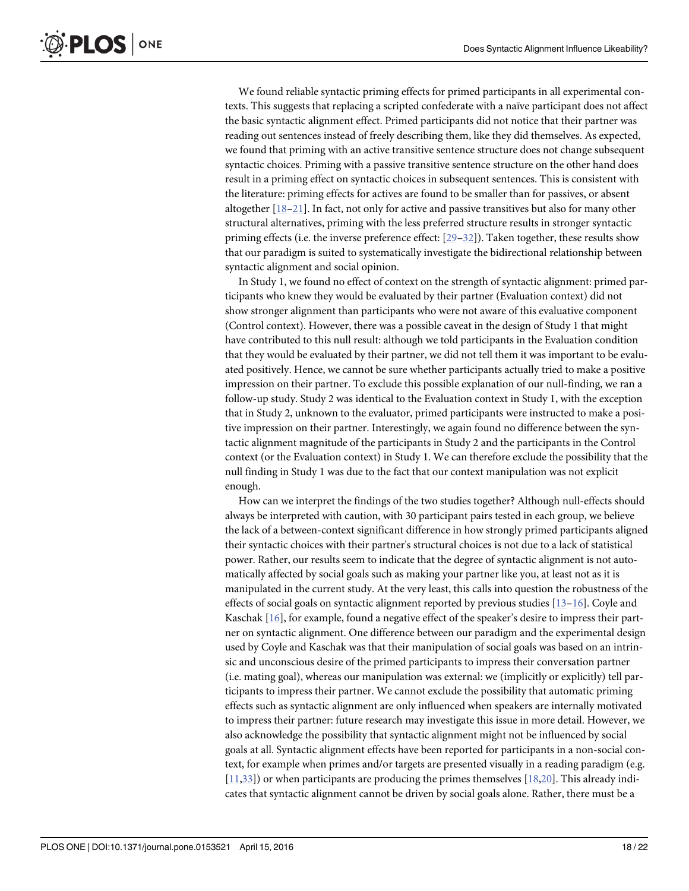<span id="page-17-0"></span>We found reliable syntactic priming effects for primed participants in all experimental contexts. This suggests that replacing a scripted confederate with a naïve participant does not affect the basic syntactic alignment effect. Primed participants did not notice that their partner was reading out sentences instead of freely describing them, like they did themselves. As expected, we found that priming with an active transitive sentence structure does not change subsequent syntactic choices. Priming with a passive transitive sentence structure on the other hand does result in a priming effect on syntactic choices in subsequent sentences. This is consistent with the literature: priming effects for actives are found to be smaller than for passives, or absent altogether [\[18](#page-20-0)–[21\]](#page-20-0). In fact, not only for active and passive transitives but also for many other structural alternatives, priming with the less preferred structure results in stronger syntactic priming effects (i.e. the inverse preference effect: [[29](#page-20-0)–[32](#page-21-0)]). Taken together, these results show that our paradigm is suited to systematically investigate the bidirectional relationship between syntactic alignment and social opinion.

In Study 1, we found no effect of context on the strength of syntactic alignment: primed participants who knew they would be evaluated by their partner (Evaluation context) did not show stronger alignment than participants who were not aware of this evaluative component (Control context). However, there was a possible caveat in the design of Study 1 that might have contributed to this null result: although we told participants in the Evaluation condition that they would be evaluated by their partner, we did not tell them it was important to be evaluated positively. Hence, we cannot be sure whether participants actually tried to make a positive impression on their partner. To exclude this possible explanation of our null-finding, we ran a follow-up study. Study 2 was identical to the Evaluation context in Study 1, with the exception that in Study 2, unknown to the evaluator, primed participants were instructed to make a positive impression on their partner. Interestingly, we again found no difference between the syntactic alignment magnitude of the participants in Study 2 and the participants in the Control context (or the Evaluation context) in Study 1. We can therefore exclude the possibility that the null finding in Study 1 was due to the fact that our context manipulation was not explicit enough.

How can we interpret the findings of the two studies together? Although null-effects should always be interpreted with caution, with 30 participant pairs tested in each group, we believe the lack of a between-context significant difference in how strongly primed participants aligned their syntactic choices with their partner's structural choices is not due to a lack of statistical power. Rather, our results seem to indicate that the degree of syntactic alignment is not automatically affected by social goals such as making your partner like you, at least not as it is manipulated in the current study. At the very least, this calls into question the robustness of the effects of social goals on syntactic alignment reported by previous studies  $[13-16]$  $[13-16]$  $[13-16]$  $[13-16]$ . Coyle and Kaschak [\[16\]](#page-20-0), for example, found a negative effect of the speaker's desire to impress their partner on syntactic alignment. One difference between our paradigm and the experimental design used by Coyle and Kaschak was that their manipulation of social goals was based on an intrinsic and unconscious desire of the primed participants to impress their conversation partner (i.e. mating goal), whereas our manipulation was external: we (implicitly or explicitly) tell participants to impress their partner. We cannot exclude the possibility that automatic priming effects such as syntactic alignment are only influenced when speakers are internally motivated to impress their partner: future research may investigate this issue in more detail. However, we also acknowledge the possibility that syntactic alignment might not be influenced by social goals at all. Syntactic alignment effects have been reported for participants in a non-social context, for example when primes and/or targets are presented visually in a reading paradigm (e.g.  $[11,33]$  $[11,33]$ ) or when participants are producing the primes themselves  $[18,20]$ . This already indicates that syntactic alignment cannot be driven by social goals alone. Rather, there must be a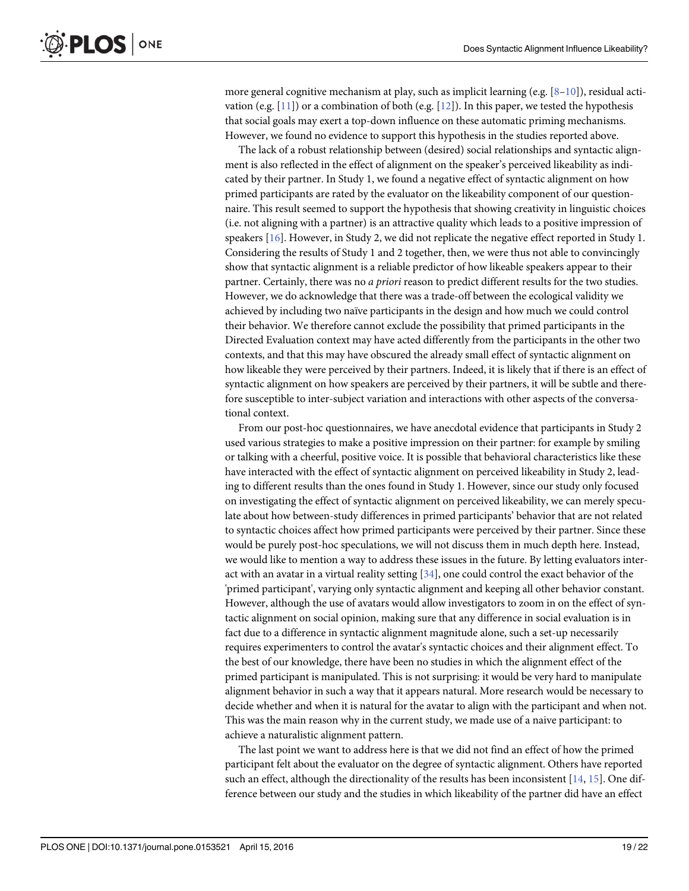<span id="page-18-0"></span>more general cognitive mechanism at play, such as implicit learning (e.g.  $[8-10]$  $[8-10]$  $[8-10]$ ), residual acti-vation (e.g. [\[11](#page-20-0)]) or a combination of both (e.g. [\[12\]](#page-20-0)). In this paper, we tested the hypothesis that social goals may exert a top-down influence on these automatic priming mechanisms. However, we found no evidence to support this hypothesis in the studies reported above.

The lack of a robust relationship between (desired) social relationships and syntactic alignment is also reflected in the effect of alignment on the speaker's perceived likeability as indicated by their partner. In Study 1, we found a negative effect of syntactic alignment on how primed participants are rated by the evaluator on the likeability component of our questionnaire. This result seemed to support the hypothesis that showing creativity in linguistic choices (i.e. not aligning with a partner) is an attractive quality which leads to a positive impression of speakers [\[16\]](#page-20-0). However, in Study 2, we did not replicate the negative effect reported in Study 1. Considering the results of Study 1 and 2 together, then, we were thus not able to convincingly show that syntactic alignment is a reliable predictor of how likeable speakers appear to their partner. Certainly, there was no *a priori* reason to predict different results for the two studies. However, we do acknowledge that there was a trade-off between the ecological validity we achieved by including two naïve participants in the design and how much we could control their behavior. We therefore cannot exclude the possibility that primed participants in the Directed Evaluation context may have acted differently from the participants in the other two contexts, and that this may have obscured the already small effect of syntactic alignment on how likeable they were perceived by their partners. Indeed, it is likely that if there is an effect of syntactic alignment on how speakers are perceived by their partners, it will be subtle and therefore susceptible to inter-subject variation and interactions with other aspects of the conversational context.

From our post-hoc questionnaires, we have anecdotal evidence that participants in Study 2 used various strategies to make a positive impression on their partner: for example by smiling or talking with a cheerful, positive voice. It is possible that behavioral characteristics like these have interacted with the effect of syntactic alignment on perceived likeability in Study 2, leading to different results than the ones found in Study 1. However, since our study only focused on investigating the effect of syntactic alignment on perceived likeability, we can merely speculate about how between-study differences in primed participants' behavior that are not related to syntactic choices affect how primed participants were perceived by their partner. Since these would be purely post-hoc speculations, we will not discuss them in much depth here. Instead, we would like to mention a way to address these issues in the future. By letting evaluators interact with an avatar in a virtual reality setting  $[34]$  $[34]$ , one could control the exact behavior of the 'primed participant', varying only syntactic alignment and keeping all other behavior constant. However, although the use of avatars would allow investigators to zoom in on the effect of syntactic alignment on social opinion, making sure that any difference in social evaluation is in fact due to a difference in syntactic alignment magnitude alone, such a set-up necessarily requires experimenters to control the avatar's syntactic choices and their alignment effect. To the best of our knowledge, there have been no studies in which the alignment effect of the primed participant is manipulated. This is not surprising: it would be very hard to manipulate alignment behavior in such a way that it appears natural. More research would be necessary to decide whether and when it is natural for the avatar to align with the participant and when not. This was the main reason why in the current study, we made use of a naive participant: to achieve a naturalistic alignment pattern.

The last point we want to address here is that we did not find an effect of how the primed participant felt about the evaluator on the degree of syntactic alignment. Others have reported such an effect, although the directionality of the results has been inconsistent  $[14, 15]$  $[14, 15]$  $[14, 15]$  $[14, 15]$ . One difference between our study and the studies in which likeability of the partner did have an effect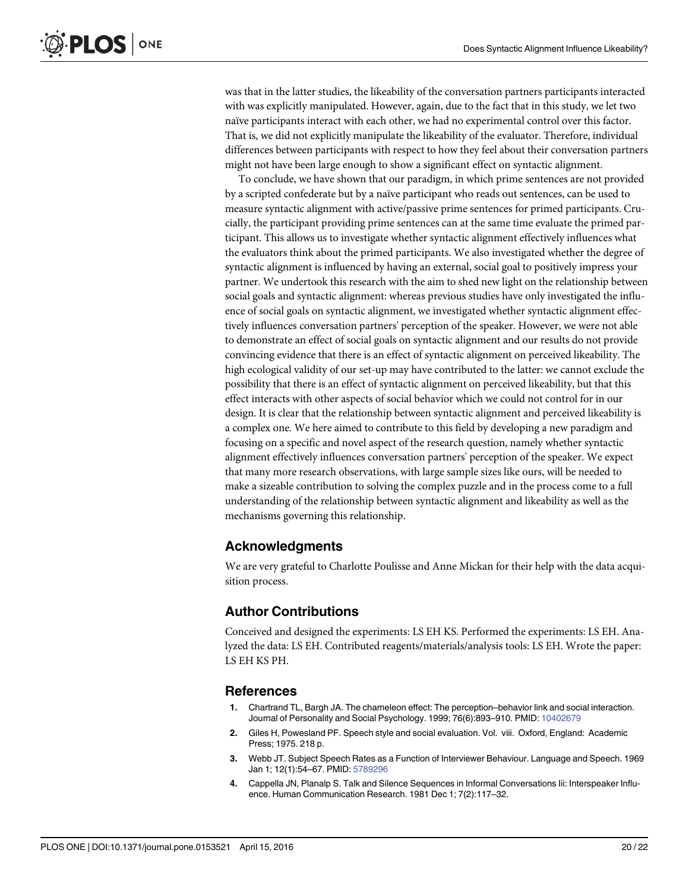<span id="page-19-0"></span>was that in the latter studies, the likeability of the conversation partners participants interacted with was explicitly manipulated. However, again, due to the fact that in this study, we let two naïve participants interact with each other, we had no experimental control over this factor. That is, we did not explicitly manipulate the likeability of the evaluator. Therefore, individual differences between participants with respect to how they feel about their conversation partners might not have been large enough to show a significant effect on syntactic alignment.

To conclude, we have shown that our paradigm, in which prime sentences are not provided by a scripted confederate but by a naïve participant who reads out sentences, can be used to measure syntactic alignment with active/passive prime sentences for primed participants. Crucially, the participant providing prime sentences can at the same time evaluate the primed participant. This allows us to investigate whether syntactic alignment effectively influences what the evaluators think about the primed participants. We also investigated whether the degree of syntactic alignment is influenced by having an external, social goal to positively impress your partner. We undertook this research with the aim to shed new light on the relationship between social goals and syntactic alignment: whereas previous studies have only investigated the influence of social goals on syntactic alignment, we investigated whether syntactic alignment effectively influences conversation partners' perception of the speaker. However, we were not able to demonstrate an effect of social goals on syntactic alignment and our results do not provide convincing evidence that there is an effect of syntactic alignment on perceived likeability. The high ecological validity of our set-up may have contributed to the latter: we cannot exclude the possibility that there is an effect of syntactic alignment on perceived likeability, but that this effect interacts with other aspects of social behavior which we could not control for in our design. It is clear that the relationship between syntactic alignment and perceived likeability is a complex one. We here aimed to contribute to this field by developing a new paradigm and focusing on a specific and novel aspect of the research question, namely whether syntactic alignment effectively influences conversation partners' perception of the speaker. We expect that many more research observations, with large sample sizes like ours, will be needed to make a sizeable contribution to solving the complex puzzle and in the process come to a full understanding of the relationship between syntactic alignment and likeability as well as the mechanisms governing this relationship.

## Acknowledgments

We are very grateful to Charlotte Poulisse and Anne Mickan for their help with the data acquisition process.

## Author Contributions

Conceived and designed the experiments: LS EH KS. Performed the experiments: LS EH. Analyzed the data: LS EH. Contributed reagents/materials/analysis tools: LS EH. Wrote the paper: LS EH KS PH.

#### References

- [1.](#page-0-0) Chartrand TL, Bargh JA. The chameleon effect: The perception–behavior link and social interaction. Journal of Personality and Social Psychology. 1999; 76(6):893–910. PMID: [10402679](http://www.ncbi.nlm.nih.gov/pubmed/10402679)
- [2.](#page-1-0) Giles H, Powesland PF. Speech style and social evaluation. Vol. viii. Oxford, England: Academic Press; 1975. 218 p.
- [3.](#page-1-0) Webb JT. Subject Speech Rates as a Function of Interviewer Behaviour. Language and Speech. 1969 Jan 1; 12(1):54–67. PMID: [5789296](http://www.ncbi.nlm.nih.gov/pubmed/5789296)
- [4.](#page-1-0) Cappella JN, Planalp S. Talk and Silence Sequences in Informal Conversations Iii: Interspeaker Influence. Human Communication Research. 1981 Dec 1; 7(2):117–32.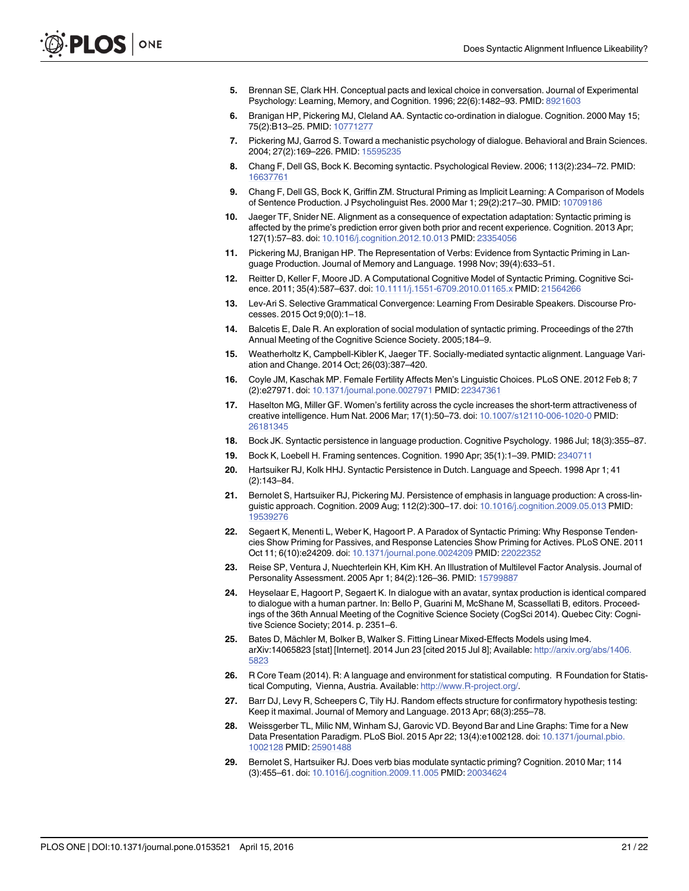- <span id="page-20-0"></span>[5.](#page-1-0) Brennan SE, Clark HH. Conceptual pacts and lexical choice in conversation. Journal of Experimental Psychology: Learning, Memory, and Cognition. 1996; 22(6):1482–93. PMID: [8921603](http://www.ncbi.nlm.nih.gov/pubmed/8921603)
- [6.](#page-1-0) Branigan HP, Pickering MJ, Cleland AA. Syntactic co-ordination in dialogue. Cognition. 2000 May 15; 75(2):B13–25. PMID: [10771277](http://www.ncbi.nlm.nih.gov/pubmed/10771277)
- [7.](#page-1-0) Pickering MJ, Garrod S. Toward a mechanistic psychology of dialogue. Behavioral and Brain Sciences. 2004; 27(2):169–226. PMID: [15595235](http://www.ncbi.nlm.nih.gov/pubmed/15595235)
- [8.](#page-1-0) Chang F, Dell GS, Bock K. Becoming syntactic. Psychological Review. 2006; 113(2):234–72. PMID: [16637761](http://www.ncbi.nlm.nih.gov/pubmed/16637761)
- 9. Chang F, Dell GS, Bock K, Griffin ZM. Structural Priming as Implicit Learning: A Comparison of Models of Sentence Production. J Psycholinguist Res. 2000 Mar 1; 29(2):217–30. PMID: [10709186](http://www.ncbi.nlm.nih.gov/pubmed/10709186)
- [10.](#page-1-0) Jaeger TF, Snider NE. Alignment as a consequence of expectation adaptation: Syntactic priming is affected by the prime's prediction error given both prior and recent experience. Cognition. 2013 Apr; 127(1):57–83. doi: [10.1016/j.cognition.2012.10.013](http://dx.doi.org/10.1016/j.cognition.2012.10.013) PMID: [23354056](http://www.ncbi.nlm.nih.gov/pubmed/23354056)
- [11.](#page-1-0) Pickering MJ, Branigan HP. The Representation of Verbs: Evidence from Syntactic Priming in Language Production. Journal of Memory and Language. 1998 Nov; 39(4):633–51.
- [12.](#page-1-0) Reitter D, Keller F, Moore JD. A Computational Cognitive Model of Syntactic Priming. Cognitive Science. 2011; 35(4):587–637. doi: [10.1111/j.1551-6709.2010.01165.x](http://dx.doi.org/10.1111/j.1551-6709.2010.01165.x) PMID: [21564266](http://www.ncbi.nlm.nih.gov/pubmed/21564266)
- [13.](#page-1-0) Lev-Ari S. Selective Grammatical Convergence: Learning From Desirable Speakers. Discourse Processes. 2015 Oct 9;0(0):1–18.
- [14.](#page-1-0) Balcetis E, Dale R. An exploration of social modulation of syntactic priming. Proceedings of the 27th Annual Meeting of the Cognitive Science Society. 2005;184–9.
- [15.](#page-1-0) Weatherholtz K, Campbell-Kibler K, Jaeger TF. Socially-mediated syntactic alignment. Language Variation and Change. 2014 Oct; 26(03):387–420.
- [16.](#page-1-0) Coyle JM, Kaschak MP. Female Fertility Affects Men's Linguistic Choices. PLoS ONE. 2012 Feb 8; 7 (2):e27971. doi: [10.1371/journal.pone.0027971](http://dx.doi.org/10.1371/journal.pone.0027971) PMID: [22347361](http://www.ncbi.nlm.nih.gov/pubmed/22347361)
- [17.](#page-2-0) Haselton MG, Miller GF. Women's fertility across the cycle increases the short-term attractiveness of creative intelligence. Hum Nat. 2006 Mar; 17(1):50–73. doi: [10.1007/s12110-006-1020-0](http://dx.doi.org/10.1007/s12110-006-1020-0) PMID: [26181345](http://www.ncbi.nlm.nih.gov/pubmed/26181345)
- [18.](#page-3-0) Bock JK. Syntactic persistence in language production. Cognitive Psychology. 1986 Jul; 18(3):355–87.
- 19. Bock K, Loebell H. Framing sentences. Cognition. 1990 Apr; 35(1):1–39. PMID: [2340711](http://www.ncbi.nlm.nih.gov/pubmed/2340711)
- [20.](#page-17-0) Hartsuiker RJ, Kolk HHJ. Syntactic Persistence in Dutch. Language and Speech. 1998 Apr 1; 41 (2):143–84.
- [21.](#page-3-0) Bernolet S, Hartsuiker RJ, Pickering MJ. Persistence of emphasis in language production: A cross-linguistic approach. Cognition. 2009 Aug; 112(2):300–17. doi: [10.1016/j.cognition.2009.05.013](http://dx.doi.org/10.1016/j.cognition.2009.05.013) PMID: [19539276](http://www.ncbi.nlm.nih.gov/pubmed/19539276)
- [22.](#page-3-0) Segaert K, Menenti L, Weber K, Hagoort P. A Paradox of Syntactic Priming: Why Response Tendencies Show Priming for Passives, and Response Latencies Show Priming for Actives. PLoS ONE. 2011 Oct 11; 6(10):e24209. doi: [10.1371/journal.pone.0024209](http://dx.doi.org/10.1371/journal.pone.0024209) PMID: [22022352](http://www.ncbi.nlm.nih.gov/pubmed/22022352)
- [23.](#page-7-0) Reise SP, Ventura J, Nuechterlein KH, Kim KH. An Illustration of Multilevel Factor Analysis. Journal of Personality Assessment. 2005 Apr 1; 84(2):126–36. PMID: [15799887](http://www.ncbi.nlm.nih.gov/pubmed/15799887)
- [24.](#page-7-0) Heyselaar E, Hagoort P, Segaert K. In dialogue with an avatar, syntax production is identical compared to dialogue with a human partner. In: Bello P, Guarini M, McShane M, Scassellati B, editors. Proceedings of the 36th Annual Meeting of the Cognitive Science Society (CogSci 2014). Quebec City: Cognitive Science Society; 2014. p. 2351–6.
- [25.](#page-7-0) Bates D, Mächler M, Bolker B, Walker S. Fitting Linear Mixed-Effects Models using lme4. arXiv:14065823 [stat] [Internet]. 2014 Jun 23 [cited 2015 Jul 8]; Available: [http://arxiv.org/abs/1406.](http://arxiv.org/abs/1406.5823) [5823](http://arxiv.org/abs/1406.5823)
- [26.](#page-7-0) R Core Team (2014). R: A language and environment for statistical computing. R Foundation for Statistical Computing, Vienna, Austria. Available: [http://www.R-project.org/.](http://www.R-project.org/)
- [27.](#page-7-0) Barr DJ, Levy R, Scheepers C, Tily HJ. Random effects structure for confirmatory hypothesis testing: Keep it maximal. Journal of Memory and Language. 2013 Apr; 68(3):255–78.
- [28.](#page-9-0) Weissgerber TL, Milic NM, Winham SJ, Garovic VD. Beyond Bar and Line Graphs: Time for a New Data Presentation Paradigm. PLoS Biol. 2015 Apr 22; 13(4):e1002128. doi: [10.1371/journal.pbio.](http://dx.doi.org/10.1371/journal.pbio.1002128) [1002128](http://dx.doi.org/10.1371/journal.pbio.1002128) PMID: [25901488](http://www.ncbi.nlm.nih.gov/pubmed/25901488)
- [29.](#page-17-0) Bernolet S, Hartsuiker RJ. Does verb bias modulate syntactic priming? Cognition. 2010 Mar; 114 (3):455–61. doi: [10.1016/j.cognition.2009.11.005](http://dx.doi.org/10.1016/j.cognition.2009.11.005) PMID: [20034624](http://www.ncbi.nlm.nih.gov/pubmed/20034624)